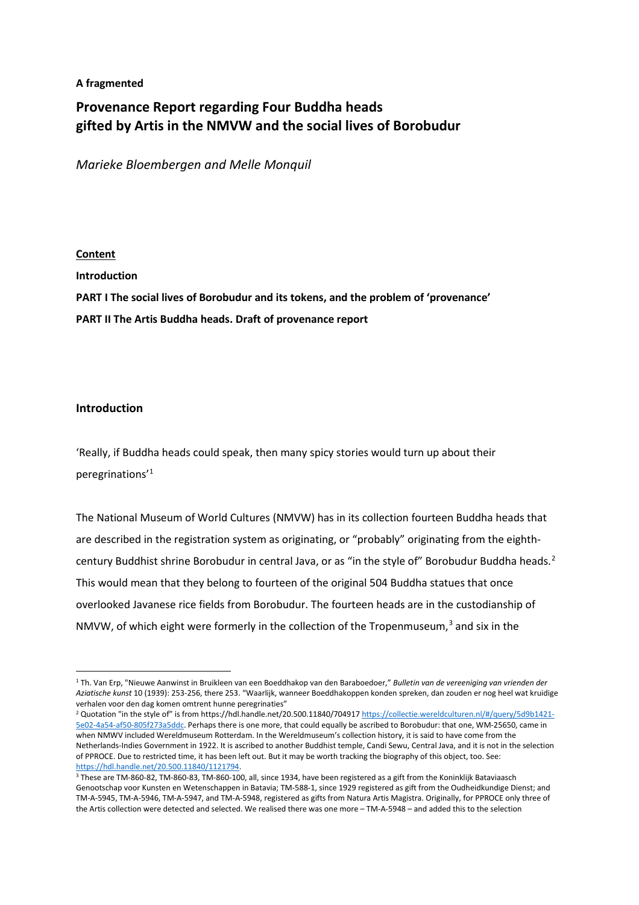# **A fragmented**

# **Provenance Report regarding Four Buddha heads gifted by Artis in the NMVW and the social lives of Borobudur**

*Marieke Bloembergen and Melle Monquil*

# **Content**

**Introduction PART I The social lives of Borobudur and its tokens, and the problem of 'provenance' PART II The Artis Buddha heads. Draft of provenance report**

# **Introduction**

'Really, if Buddha heads could speak, then many spicy stories would turn up about their peregrinations'[1](#page-0-0)

The National Museum of World Cultures (NMVW) has in its collection fourteen Buddha heads that are described in the registration system as originating, or "probably" originating from the eighth-century Buddhist shrine Borobudur in central Java, or as "in the style of" Borobudur Buddha heads.<sup>[2](#page-0-1)</sup> This would mean that they belong to fourteen of the original 504 Buddha statues that once overlooked Javanese rice fields from Borobudur. The fourteen heads are in the custodianship of NMVW, of which eight were formerly in the collection of the Tropenmuseum, $3$  and six in the

<span id="page-0-0"></span> $\overline{a}$ <sup>1</sup> Th. Van Erp, "Nieuwe Aanwinst in Bruikleen van een Boeddhakop van den Baraboedoer," *Bulletin van de vereeniging van vrienden der Aziatische kunst* 10 (1939): 253-256, there 253. "Waarlijk, wanneer Boeddhakoppen konden spreken, dan zouden er nog heel wat kruidige verhalen voor den dag komen omtrent hunne peregrinaties"

<span id="page-0-1"></span><sup>&</sup>lt;sup>2</sup> Quotation "in the style of" is from https://hdl.handle.net/20.500.11840/704917 [https://collectie.wereldculturen.nl/#/query/5d9b1421-](https://collectie.wereldculturen.nl/#/query/5d9b1421-5e02-4a54-af50-805f273a5ddc) [5e02-4a54-af50-805f273a5ddc.](https://collectie.wereldculturen.nl/#/query/5d9b1421-5e02-4a54-af50-805f273a5ddc) Perhaps there is one more, that could equally be ascribed to Borobudur: that one, WM-25650, came in when NMWV included Wereldmuseum Rotterdam. In the Wereldmuseum's collection history, it is said to have come from the Netherlands-Indies Government in 1922. It is ascribed to another Buddhist temple, Candi Sewu, Central Java, and it is not in the selection of PPROCE. Due to restricted time, it has been left out. But it may be worth tracking the biography of this object, too. See: [https://hdl.handle.net/20.500.11840/1121794.](https://hdl.handle.net/20.500.11840/1121794)

<span id="page-0-2"></span><sup>3</sup> These are TM-860-82, TM-860-83, TM-860-100, all, since 1934, have been registered as a gift from the Koninklijk Bataviaasch Genootschap voor Kunsten en Wetenschappen in Batavia; TM-588-1, since 1929 registered as gift from the Oudheidkundige Dienst; and TM-A-5945, TM-A-5946, TM-A-5947, and TM-A-5948, registered as gifts from Natura Artis Magistra. Originally, for PPROCE only three of the Artis collection were detected and selected. We realised there was one more – TM-A-5948 – and added this to the selection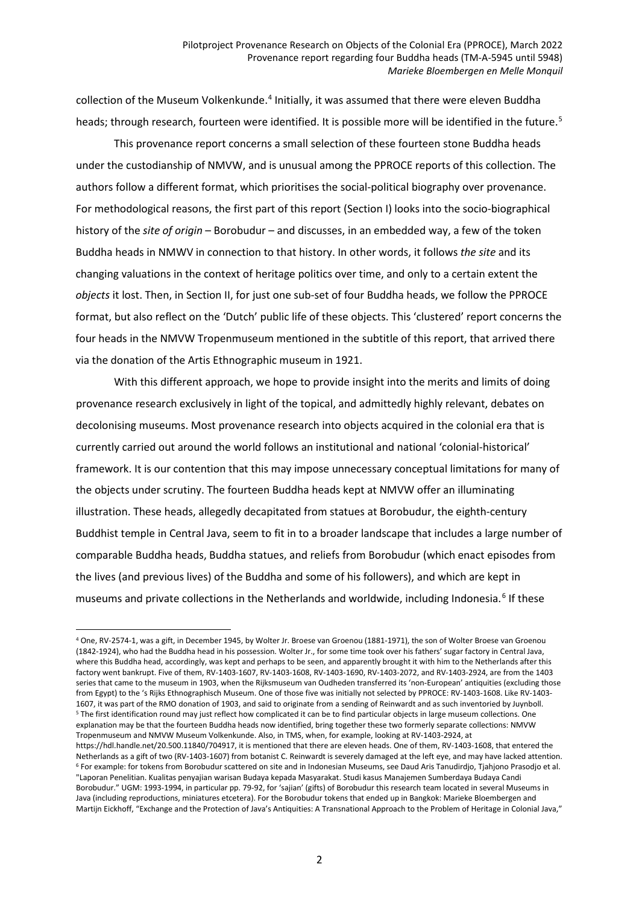collection of the Museum Volkenkunde.<sup>[4](#page-1-0)</sup> Initially, it was assumed that there were eleven Buddha heads; through research, fourteen were identified. It is possible more will be identified in the future.<sup>[5](#page-1-1)</sup>

This provenance report concerns a small selection of these fourteen stone Buddha heads under the custodianship of NMVW, and is unusual among the PPROCE reports of this collection. The authors follow a different format, which prioritises the social-political biography over provenance. For methodological reasons, the first part of this report (Section I) looks into the socio-biographical history of the *site of origin* – Borobudur – and discusses, in an embedded way, a few of the token Buddha heads in NMWV in connection to that history. In other words, it follows *the site* and its changing valuations in the context of heritage politics over time, and only to a certain extent the *objects* it lost. Then, in Section II, for just one sub-set of four Buddha heads, we follow the PPROCE format, but also reflect on the 'Dutch' public life of these objects. This 'clustered' report concerns the four heads in the NMVW Tropenmuseum mentioned in the subtitle of this report, that arrived there via the donation of the Artis Ethnographic museum in 1921.

With this different approach, we hope to provide insight into the merits and limits of doing provenance research exclusively in light of the topical, and admittedly highly relevant, debates on decolonising museums. Most provenance research into objects acquired in the colonial era that is currently carried out around the world follows an institutional and national 'colonial-historical' framework. It is our contention that this may impose unnecessary conceptual limitations for many of the objects under scrutiny. The fourteen Buddha heads kept at NMVW offer an illuminating illustration. These heads, allegedly decapitated from statues at Borobudur, the eighth-century Buddhist temple in Central Java, seem to fit in to a broader landscape that includes a large number of comparable Buddha heads, Buddha statues, and reliefs from Borobudur (which enact episodes from the lives (and previous lives) of the Buddha and some of his followers), and which are kept in museums and private collections in the Netherlands and worldwide, including Indonesia.<sup>[6](#page-1-2)</sup> If these

<span id="page-1-2"></span><span id="page-1-1"></span><span id="page-1-0"></span><sup>4</sup> One, RV-2574-1, was a gift, in December 1945, by Wolter Jr. Broese van Groenou (1881-1971), the son of Wolter Broese van Groenou (1842-1924), who had the Buddha head in his possession. Wolter Jr., for some time took over his fathers' sugar factory in Central Java, where this Buddha head, accordingly, was kept and perhaps to be seen, and apparently brought it with him to the Netherlands after this factory went bankrupt. Five of them, RV-1403-1607, RV-1403-1608, RV-1403-1690, RV-1403-2072, and RV-1403-2924, are from the 1403 series that came to the museum in 1903, when the Rijksmuseum van Oudheden transferred its 'non-European' antiquities (excluding those from Egypt) to the 's Rijks Ethnographisch Museum. One of those five was initially not selected by PPROCE: RV-1403-1608. Like RV-1403- 1607, it was part of the RMO donation of 1903, and said to originate from a sending of Reinwardt and as such inventoried by Juynboll. <sup>5</sup> The first identification round may just reflect how complicated it can be to find particular objects in large museum collections. One explanation may be that the fourteen Buddha heads now identified, bring together these two formerly separate collections: NMVW Tropenmuseum and NMVW Museum Volkenkunde. Also, in TMS, when, for example, looking at RV-1403-2924, at https://hdl.handle.net/20.500.11840/704917, it is mentioned that there are eleven heads. One of them, RV-1403-1608, that entered the Netherlands as a gift of two (RV-1403-1607) from botanist C. Reinwardt is severely damaged at the left eye, and may have lacked attention. <sup>6</sup> For example: for tokens from Borobudur scattered on site and in Indonesian Museums, see Daud Aris Tanudirdjo, Tjahjono Prasodjo et al. "Laporan Penelitian. Kualitas penyajian warisan Budaya kepada Masyarakat. Studi kasus Manajemen Sumberdaya Budaya Candi Borobudur." UGM: 1993-1994, in particular pp. 79-92, for 'sajian' (gifts) of Borobudur this research team located in several Museums in Java (including reproductions, miniatures etcetera). For the Borobudur tokens that ended up in Bangkok: Marieke Bloembergen and Martijn Eickhoff, "Exchange and the Protection of Java's Antiquities: A Transnational Approach to the Problem of Heritage in Colonial Java,"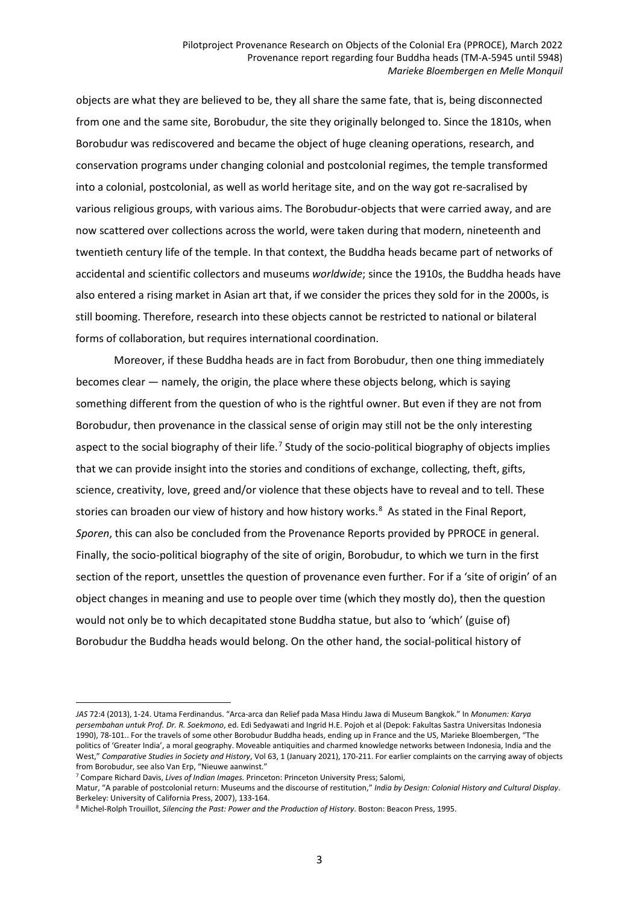objects are what they are believed to be, they all share the same fate, that is, being disconnected from one and the same site, Borobudur, the site they originally belonged to. Since the 1810s, when Borobudur was rediscovered and became the object of huge cleaning operations, research, and conservation programs under changing colonial and postcolonial regimes, the temple transformed into a colonial, postcolonial, as well as world heritage site, and on the way got re-sacralised by various religious groups, with various aims. The Borobudur-objects that were carried away, and are now scattered over collections across the world, were taken during that modern, nineteenth and twentieth century life of the temple. In that context, the Buddha heads became part of networks of accidental and scientific collectors and museums *worldwide*; since the 1910s, the Buddha heads have also entered a rising market in Asian art that, if we consider the prices they sold for in the 2000s, is still booming. Therefore, research into these objects cannot be restricted to national or bilateral forms of collaboration, but requires international coordination.

Moreover, if these Buddha heads are in fact from Borobudur, then one thing immediately becomes clear — namely, the origin, the place where these objects belong, which is saying something different from the question of who is the rightful owner. But even if they are not from Borobudur, then provenance in the classical sense of origin may still not be the only interesting aspect to the social biography of their life.<sup>[7](#page-2-0)</sup> Study of the socio-political biography of objects implies that we can provide insight into the stories and conditions of exchange, collecting, theft, gifts, science, creativity, love, greed and/or violence that these objects have to reveal and to tell. These stories can broaden our view of history and how history works.<sup>[8](#page-2-1)</sup> As stated in the Final Report, *Sporen*, this can also be concluded from the Provenance Reports provided by PPROCE in general. Finally, the socio-political biography of the site of origin, Borobudur, to which we turn in the first section of the report, unsettles the question of provenance even further. For if a 'site of origin' of an object changes in meaning and use to people over time (which they mostly do), then the question would not only be to which decapitated stone Buddha statue, but also to 'which' (guise of) Borobudur the Buddha heads would belong. On the other hand, the social-political history of

*JAS* 72:4 (2013), 1-24. Utama Ferdinandus. "Arca-arca dan Relief pada Masa Hindu Jawa di Museum Bangkok." In *Monumen: Karya persembahan untuk Prof. Dr. R. Soekmono*, ed. Edi Sedyawati and Ingrid H.E. Pojoh et al (Depok: Fakultas Sastra Universitas Indonesia 1990), 78-101.. For the travels of some other Borobudur Buddha heads, ending up in France and the US, Marieke Bloembergen, "The politics of 'Greater India', a moral geography. Moveable antiquities and charmed knowledge networks between Indonesia, India and the West," *Comparative Studies in Society and History*, Vol 63, 1 (January 2021), 170-211. For earlier complaints on the carrying away of objects from Borobudur, see also Van Erp, "Nieuwe aanwinst."

<span id="page-2-0"></span><sup>7</sup> Compare Richard Davis, *Lives of Indian Images.* Princeton: Princeton University Press; Salomi,

Matur, "A parable of postcolonial return: Museums and the discourse of restitution," *India by Design: Colonial History and Cultural Display*. Berkeley: University of California Press, 2007), 133-164.

<span id="page-2-1"></span><sup>8</sup> Michel-Rolph Trouillot, *Silencing the Past: Power and the Production of History*. Boston: Beacon Press, 1995.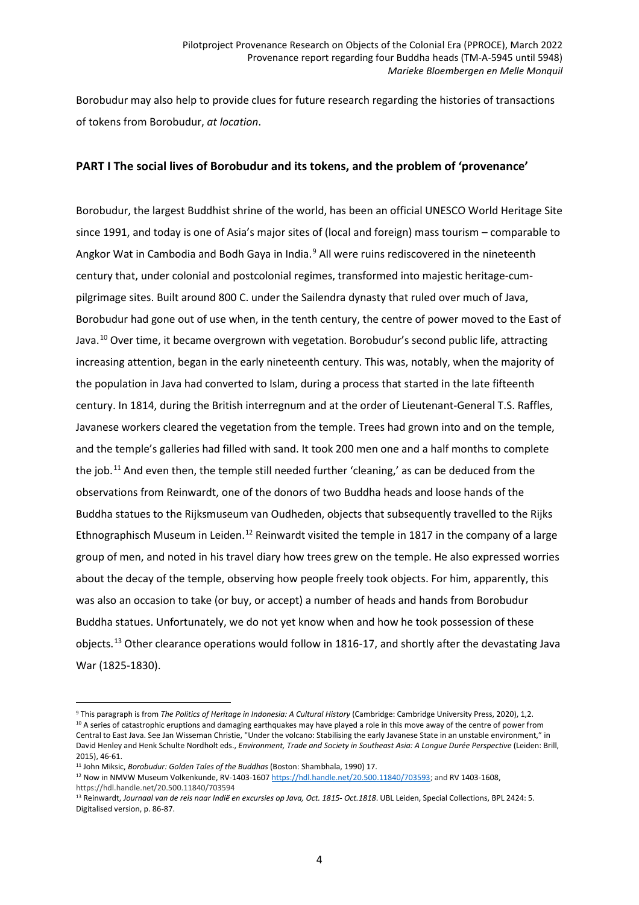Borobudur may also help to provide clues for future research regarding the histories of transactions of tokens from Borobudur, *at location*.

# **PART I The social lives of Borobudur and its tokens, and the problem of 'provenance'**

Borobudur, the largest Buddhist shrine of the world, has been an official UNESCO World Heritage Site since 1991, and today is one of Asia's major sites of (local and foreign) mass tourism – comparable to Angkor Wat in Cambodia and Bodh Gaya in India.<sup>[9](#page-3-0)</sup> All were ruins rediscovered in the nineteenth century that, under colonial and postcolonial regimes, transformed into majestic heritage-cumpilgrimage sites. Built around 800 C. under the Sailendra dynasty that ruled over much of Java, Borobudur had gone out of use when, in the tenth century, the centre of power moved to the East of Java.<sup>[10](#page-3-1)</sup> Over time, it became overgrown with vegetation. Borobudur's second public life, attracting increasing attention, began in the early nineteenth century. This was, notably, when the majority of the population in Java had converted to Islam, during a process that started in the late fifteenth century. In 1814, during the British interregnum and at the order of Lieutenant-General T.S. Raffles, Javanese workers cleared the vegetation from the temple. Trees had grown into and on the temple, and the temple's galleries had filled with sand. It took 200 men one and a half months to complete the job.<sup>[11](#page-3-2)</sup> And even then, the temple still needed further 'cleaning,' as can be deduced from the observations from Reinwardt, one of the donors of two Buddha heads and loose hands of the Buddha statues to the Rijksmuseum van Oudheden, objects that subsequently travelled to the Rijks Ethnographisch Museum in Leiden.<sup>12</sup> Reinwardt visited the temple in 1817 in the company of a large group of men, and noted in his travel diary how trees grew on the temple. He also expressed worries about the decay of the temple, observing how people freely took objects. For him, apparently, this was also an occasion to take (or buy, or accept) a number of heads and hands from Borobudur Buddha statues. Unfortunately, we do not yet know when and how he took possession of these objects.[13](#page-3-4) Other clearance operations would follow in 1816-17, and shortly after the devastating Java War (1825-1830).

<span id="page-3-1"></span><span id="page-3-0"></span> $\overline{a}$ <sup>9</sup> This paragraph is from *The Politics of Heritage in Indonesia: A Cultural History* (Cambridge: Cambridge University Press, 2020), 1,2. <sup>10</sup> A series of catastrophic eruptions and damaging earthquakes may have played a role in this move away of the centre of power from Central to East Java. See Jan Wisseman Christie, "Under the volcano: Stabilising the early Javanese State in an unstable environment," in David Henley and Henk Schulte Nordholt eds., *Environment, Trade and Society in Southeast Asia: A Longue Durée Perspective* (Leiden: Brill, 2015), 46-61.

<span id="page-3-2"></span><sup>11</sup> John Miksic, *Borobudur: Golden Tales of the Buddhas* (Boston: Shambhala, 1990) 17.

<span id="page-3-3"></span><sup>&</sup>lt;sup>12</sup> Now in NMVW Museum Volkenkunde, RV-1403-1607 [https://hdl.handle.net/20.500.11840/703593;](https://hdl.handle.net/20.500.11840/703593) and RV 1403-1608, https://hdl.handle.net/20.500.11840/703594

<span id="page-3-4"></span><sup>&</sup>lt;sup>13</sup> Reinwardt, Journaal van de reis naar Indië en excursies op Java, Oct. 1815- Oct.1818. UBL Leiden, Special Collections, BPL 2424: 5. Digitalised version, p. 86-87.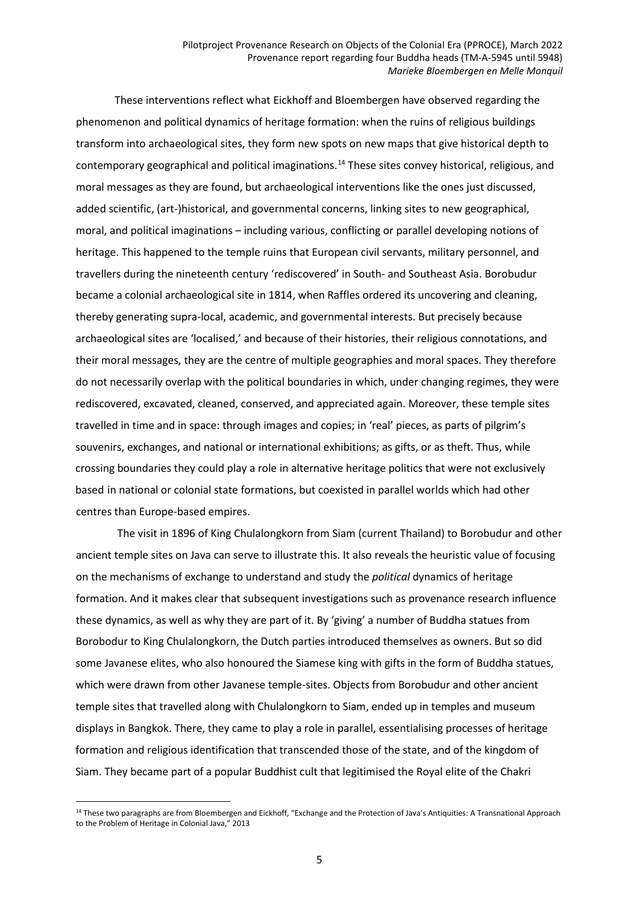These interventions reflect what Eickhoff and Bloembergen have observed regarding the phenomenon and political dynamics of heritage formation: when the ruins of religious buildings transform into archaeological sites, they form new spots on new maps that give historical depth to contemporary geographical and political imaginations.<sup>[14](#page-4-0)</sup> These sites convey historical, religious, and moral messages as they are found, but archaeological interventions like the ones just discussed, added scientific, (art-)historical, and governmental concerns, linking sites to new geographical, moral, and political imaginations – including various, conflicting or parallel developing notions of heritage. This happened to the temple ruins that European civil servants, military personnel, and travellers during the nineteenth century 'rediscovered' in South- and Southeast Asia. Borobudur became a colonial archaeological site in 1814, when Raffles ordered its uncovering and cleaning, thereby generating supra-local, academic, and governmental interests. But precisely because archaeological sites are 'localised,' and because of their histories, their religious connotations, and their moral messages, they are the centre of multiple geographies and moral spaces. They therefore do not necessarily overlap with the political boundaries in which, under changing regimes, they were rediscovered, excavated, cleaned, conserved, and appreciated again. Moreover, these temple sites travelled in time and in space: through images and copies; in 'real' pieces, as parts of pilgrim's souvenirs, exchanges, and national or international exhibitions; as gifts, or as theft. Thus, while crossing boundaries they could play a role in alternative heritage politics that were not exclusively based in national or colonial state formations, but coexisted in parallel worlds which had other centres than Europe-based empires.

The visit in 1896 of King Chulalongkorn from Siam (current Thailand) to Borobudur and other ancient temple sites on Java can serve to illustrate this. It also reveals the heuristic value of focusing on the mechanisms of exchange to understand and study the *political* dynamics of heritage formation. And it makes clear that subsequent investigations such as provenance research influence these dynamics, as well as why they are part of it. By 'giving' a number of Buddha statues from Borobodur to King Chulalongkorn, the Dutch parties introduced themselves as owners. But so did some Javanese elites, who also honoured the Siamese king with gifts in the form of Buddha statues, which were drawn from other Javanese temple-sites. Objects from Borobudur and other ancient temple sites that travelled along with Chulalongkorn to Siam, ended up in temples and museum displays in Bangkok. There, they came to play a role in parallel, essentialising processes of heritage formation and religious identification that transcended those of the state, and of the kingdom of Siam. They became part of a popular Buddhist cult that legitimised the Royal elite of the Chakri

<span id="page-4-0"></span><sup>&</sup>lt;sup>14</sup> These two paragraphs are from Bloembergen and Eickhoff, "Exchange and the Protection of Java's Antiquities: A Transnational Approach to the Problem of Heritage in Colonial Java," 2013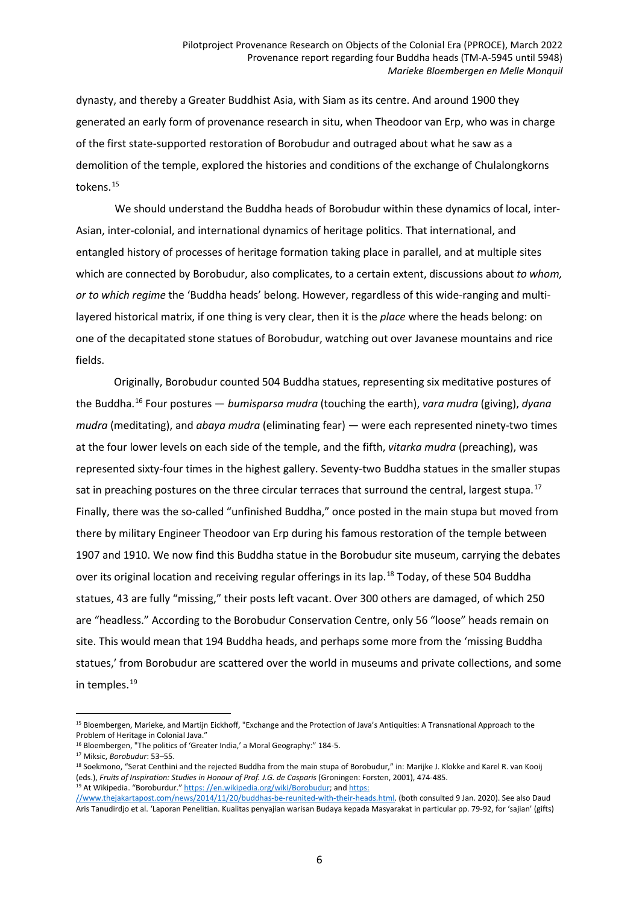dynasty, and thereby a Greater Buddhist Asia, with Siam as its centre. And around 1900 they generated an early form of provenance research in situ, when Theodoor van Erp, who was in charge of the first state-supported restoration of Borobudur and outraged about what he saw as a demolition of the temple, explored the histories and conditions of the exchange of Chulalongkorns tokens.<sup>[15](#page-5-0)</sup>

We should understand the Buddha heads of Borobudur within these dynamics of local, inter-Asian, inter-colonial, and international dynamics of heritage politics. That international, and entangled history of processes of heritage formation taking place in parallel, and at multiple sites which are connected by Borobudur, also complicates, to a certain extent, discussions about *to whom, or to which regime* the 'Buddha heads' belong. However, regardless of this wide-ranging and multilayered historical matrix, if one thing is very clear, then it is the *place* where the heads belong: on one of the decapitated stone statues of Borobudur, watching out over Javanese mountains and rice fields.

Originally, Borobudur counted 504 Buddha statues, representing six meditative postures of the Buddha.[16](#page-5-1) Four postures — *bumisparsa mudra* (touching the earth), *vara mudra* (giving), *dyana mudra* (meditating), and *abaya mudra* (eliminating fear) — were each represented ninety-two times at the four lower levels on each side of the temple, and the fifth, *vitarka mudra* (preaching), was represented sixty-four times in the highest gallery. Seventy-two Buddha statues in the smaller stupas sat in preaching postures on the three circular terraces that surround the central, largest stupa.<sup>[17](#page-5-2)</sup> Finally, there was the so-called "unfinished Buddha," once posted in the main stupa but moved from there by military Engineer Theodoor van Erp during his famous restoration of the temple between 1907 and 1910. We now find this Buddha statue in the Borobudur site museum, carrying the debates over its original location and receiving regular offerings in its lap.<sup>[18](#page-5-3)</sup> Today, of these 504 Buddha statues, 43 are fully "missing," their posts left vacant. Over 300 others are damaged, of which 250 are "headless." According to the Borobudur Conservation Centre, only 56 "loose" heads remain on site. This would mean that 194 Buddha heads, and perhaps some more from the 'missing Buddha statues,' from Borobudur are scattered over the world in museums and private collections, and some in temples.<sup>[19](#page-5-4)</sup>

<span id="page-5-0"></span> $\overline{a}$ <sup>15</sup> Bloembergen, Marieke, and Martijn Eickhoff, "Exchange and the Protection of Java's Antiquities: A Transnational Approach to the Problem of Heritage in Colonial Java."

<span id="page-5-1"></span><sup>&</sup>lt;sup>16</sup> Bloembergen, "The politics of 'Greater India,' a Moral Geography:" 184-5.

<span id="page-5-2"></span><sup>17</sup> Miksic, *Borobudur*: 53–55.

<span id="page-5-3"></span><sup>&</sup>lt;sup>18</sup> Soekmono, "Serat Centhini and the rejected Buddha from the main stupa of Borobudur," in: Marijke J. Klokke and Karel R. van Kooij (eds.), *Fruits of Inspiration: Studies in Honour of Prof. J.G. de Casparis* (Groningen: Forsten, 2001), 474-485. <sup>19</sup> At Wikipedia. "Boroburdur." https: [//en.wikipedia.org/wiki/Borobudur;](https://en.wikipedia.org/wiki/Borobudur) and [https:](https://www.thejakartapost.com/news/2014/11/20/buddhas-be-reunited-with-their-heads.html)

<span id="page-5-4"></span>[<sup>//</sup>www.thejakartapost.com/news/2014/11/20/buddhas-be-reunited-with-their-heads.html.](https://www.thejakartapost.com/news/2014/11/20/buddhas-be-reunited-with-their-heads.html) (both consulted 9 Jan. 2020). See also Daud Aris Tanudirdjo et al. 'Laporan Penelitian. Kualitas penyajian warisan Budaya kepada Masyarakat in particular pp. 79-92, for 'sajian' (gifts)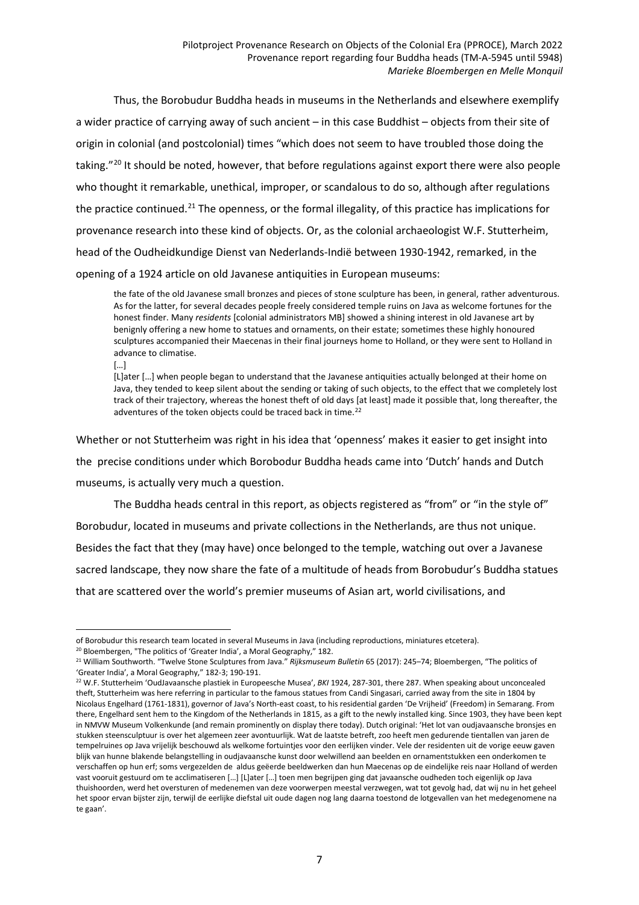Thus, the Borobudur Buddha heads in museums in the Netherlands and elsewhere exemplify a wider practice of carrying away of such ancient – in this case Buddhist – objects from their site of origin in colonial (and postcolonial) times "which does not seem to have troubled those doing the taking."<sup>[20](#page-6-0)</sup> It should be noted, however, that before regulations against export there were also people who thought it remarkable, unethical, improper, or scandalous to do so, although after regulations the practice continued.<sup>[21](#page-6-1)</sup> The openness, or the formal illegality, of this practice has implications for provenance research into these kind of objects. Or, as the colonial archaeologist W.F. Stutterheim, head of the Oudheidkundige Dienst van Nederlands-Indië between 1930-1942, remarked, in the opening of a 1924 article on old Javanese antiquities in European museums:

the fate of the old Javanese small bronzes and pieces of stone sculpture has been, in general, rather adventurous. As for the latter, for several decades people freely considered temple ruins on Java as welcome fortunes for the honest finder. Many *residents* [colonial administrators MB] showed a shining interest in old Javanese art by benignly offering a new home to statues and ornaments, on their estate; sometimes these highly honoured sculptures accompanied their Maecenas in their final journeys home to Holland, or they were sent to Holland in advance to climatise.

[…]

[L]ater […] when people began to understand that the Javanese antiquities actually belonged at their home on Java, they tended to keep silent about the sending or taking of such objects, to the effect that we completely lost track of their trajectory, whereas the honest theft of old days [at least] made it possible that, long thereafter, the adventures of the token objects could be traced back in time.<sup>[22](#page-6-2)</sup>

Whether or not Stutterheim was right in his idea that 'openness' makes it easier to get insight into the precise conditions under which Borobodur Buddha heads came into 'Dutch' hands and Dutch museums, is actually very much a question.

The Buddha heads central in this report, as objects registered as "from" or "in the style of" Borobudur, located in museums and private collections in the Netherlands, are thus not unique. Besides the fact that they (may have) once belonged to the temple, watching out over a Javanese sacred landscape, they now share the fate of a multitude of heads from Borobudur's Buddha statues that are scattered over the world's premier museums of Asian art, world civilisations, and

 $\overline{a}$ of Borobudur this research team located in several Museums in Java (including reproductions, miniatures etcetera).

<span id="page-6-0"></span><sup>&</sup>lt;sup>20</sup> Bloembergen, "The politics of 'Greater India', a Moral Geography," 182.

<span id="page-6-1"></span><sup>21</sup> William Southworth. "Twelve Stone Sculptures from Java." *Rijksmuseum Bulletin* 65 (2017): 245–74; Bloembergen, "The politics of 'Greater India', a Moral Geography," 182-3; 190-191.

<span id="page-6-2"></span><sup>22</sup> W.F. Stutterheim 'OudJavaansche plastiek in Europeesche Musea', *BKI* 1924, 287-301, there 287. When speaking about unconcealed theft, Stutterheim was here referring in particular to the famous statues from Candi Singasari, carried away from the site in 1804 by Nicolaus Engelhard (1761-1831), governor of Java's North-east coast, to his residential garden 'De Vrijheid' (Freedom) in Semarang. From there, Engelhard sent hem to the Kingdom of the Netherlands in 1815, as a gift to the newly installed king. Since 1903, they have been kept in NMVW Museum Volkenkunde (and remain prominently on display there today). Dutch original: 'Het lot van oudjavaansche bronsjes en stukken steensculptuur is over het algemeen zeer avontuurlijk. Wat de laatste betreft, zoo heeft men gedurende tientallen van jaren de tempelruines op Java vrijelijk beschouwd als welkome fortuintjes voor den eerlijken vinder. Vele der residenten uit de vorige eeuw gaven blijk van hunne blakende belangstelling in oudjavaansche kunst door welwillend aan beelden en ornamentstukken een onderkomen te verschaffen op hun erf; soms vergezelden de aldus geëerde beeldwerken dan hun Maecenas op de eindelijke reis naar Holland of werden vast vooruit gestuurd om te acclimatiseren […] [L]ater […] toen men begrijpen ging dat javaansche oudheden toch eigenlijk op Java thuishoorden, werd het oversturen of medenemen van deze voorwerpen meestal verzwegen, wat tot gevolg had, dat wij nu in het geheel het spoor ervan bijster zijn, terwijl de eerlijke diefstal uit oude dagen nog lang daarna toestond de lotgevallen van het medegenomene na te gaan'.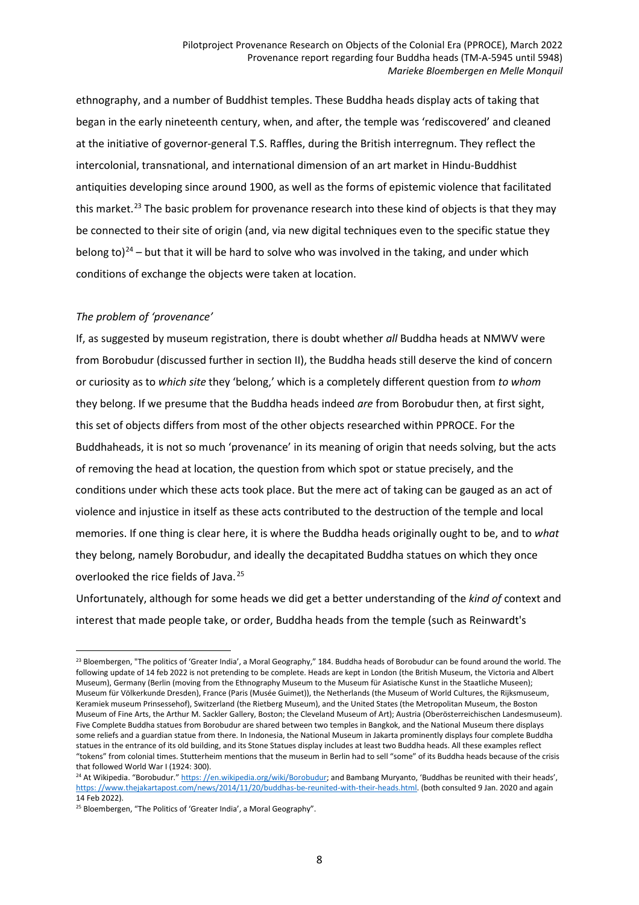ethnography, and a number of Buddhist temples. These Buddha heads display acts of taking that began in the early nineteenth century, when, and after, the temple was 'rediscovered' and cleaned at the initiative of governor-general T.S. Raffles, during the British interregnum. They reflect the intercolonial, transnational, and international dimension of an art market in Hindu-Buddhist antiquities developing since around 1900, as well as the forms of epistemic violence that facilitated this market.<sup>[23](#page-7-0)</sup> The basic problem for provenance research into these kind of objects is that they may be connected to their site of origin (and, via new digital techniques even to the specific statue they belong to)<sup>[24](#page-7-1)</sup> – but that it will be hard to solve who was involved in the taking, and under which conditions of exchange the objects were taken at location.

# *The problem of 'provenance'*

 $\overline{a}$ 

If, as suggested by museum registration, there is doubt whether *all* Buddha heads at NMWV were from Borobudur (discussed further in section II), the Buddha heads still deserve the kind of concern or curiosity as to *which site* they 'belong,' which is a completely different question from *to whom* they belong. If we presume that the Buddha heads indeed *are* from Borobudur then, at first sight, this set of objects differs from most of the other objects researched within PPROCE. For the Buddhaheads, it is not so much 'provenance' in its meaning of origin that needs solving, but the acts of removing the head at location, the question from which spot or statue precisely, and the conditions under which these acts took place. But the mere act of taking can be gauged as an act of violence and injustice in itself as these acts contributed to the destruction of the temple and local memories. If one thing is clear here, it is where the Buddha heads originally ought to be, and to *what* they belong, namely Borobudur, and ideally the decapitated Buddha statues on which they once overlooked the rice fields of Java. [25](#page-7-2)

Unfortunately, although for some heads we did get a better understanding of the *kind of* context and interest that made people take, or order, Buddha heads from the temple (such as Reinwardt's

<span id="page-7-0"></span><sup>&</sup>lt;sup>23</sup> Bloembergen, "The politics of 'Greater India', a Moral Geography," 184. Buddha heads of Borobudur can be found around the world. The following update of 14 feb 2022 is not pretending to be complete. Heads are kept in London (the British Museum, the Victoria and Albert Museum), Germany (Berlin (moving from the Ethnography Museum to the Museum für Asiatische Kunst in the Staatliche Museen); Museum für Völkerkunde Dresden), France (Paris (Musée Guimet)), the Netherlands (the Museum of World Cultures, the Rijksmuseum, Keramiek museum Prinsessehof), Switzerland (the Rietberg Museum), and the United States (the Metropolitan Museum, the Boston Museum of Fine Arts, the Arthur M. Sackler Gallery, Boston; the Cleveland Museum of Art); Austria (Oberösterreichischen Landesmuseum). Five Complete Buddha statues from Borobudur are shared between two temples in Bangkok, and the National Museum there displays some reliefs and a guardian statue from there. In Indonesia, the National Museum in Jakarta prominently displays four complete Buddha statues in the entrance of its old building, and its Stone Statues display includes at least two Buddha heads. All these examples reflect "tokens" from colonial times. Stutterheim mentions that the museum in Berlin had to sell "some" of its Buddha heads because of the crisis that followed World War I (1924: 300).

<span id="page-7-1"></span><sup>&</sup>lt;sup>24</sup> At Wikipedia. "Borobudur." https: [//en.wikipedia.org/wiki/Borobudur;](https://en.wikipedia.org/wiki/Borobudur) and Bambang Muryanto, 'Buddhas be reunited with their heads', https: [//www.thejakartapost.com/news/2014/11/20/buddhas-be-reunited-with-their-heads.html.](https://www.thejakartapost.com/news/2014/11/20/buddhas-be-reunited-with-their-heads.html) (both consulted 9 Jan. 2020 and again 14 Feb 2022).

<span id="page-7-2"></span><sup>&</sup>lt;sup>25</sup> Bloembergen, "The Politics of 'Greater India', a Moral Geography".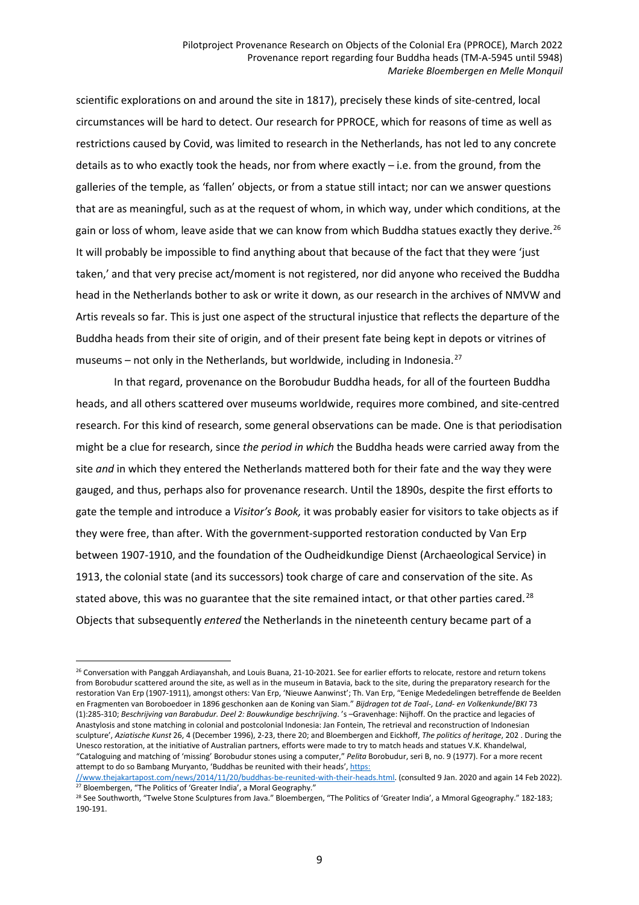scientific explorations on and around the site in 1817), precisely these kinds of site-centred, local circumstances will be hard to detect. Our research for PPROCE, which for reasons of time as well as restrictions caused by Covid, was limited to research in the Netherlands, has not led to any concrete details as to who exactly took the heads, nor from where exactly – i.e. from the ground, from the galleries of the temple, as 'fallen' objects, or from a statue still intact; nor can we answer questions that are as meaningful, such as at the request of whom, in which way, under which conditions, at the gain or loss of whom, leave aside that we can know from which Buddha statues exactly they derive.<sup>[26](#page-8-0)</sup> It will probably be impossible to find anything about that because of the fact that they were 'just taken,' and that very precise act/moment is not registered, nor did anyone who received the Buddha head in the Netherlands bother to ask or write it down, as our research in the archives of NMVW and Artis reveals so far. This is just one aspect of the structural injustice that reflects the departure of the Buddha heads from their site of origin, and of their present fate being kept in depots or vitrines of museums – not only in the Netherlands, but worldwide, including in Indonesia.<sup>[27](#page-8-1)</sup>

In that regard, provenance on the Borobudur Buddha heads, for all of the fourteen Buddha heads, and all others scattered over museums worldwide, requires more combined, and site-centred research. For this kind of research, some general observations can be made. One is that periodisation might be a clue for research, since *the period in which* the Buddha heads were carried away from the site *and* in which they entered the Netherlands mattered both for their fate and the way they were gauged, and thus, perhaps also for provenance research. Until the 1890s, despite the first efforts to gate the temple and introduce a *Visitor's Book,* it was probably easier for visitors to take objects as if they were free, than after. With the government-supported restoration conducted by Van Erp between 1907-1910, and the foundation of the Oudheidkundige Dienst (Archaeological Service) in 1913, the colonial state (and its successors) took charge of care and conservation of the site. As stated above, this was no guarantee that the site remained intact, or that other parties cared.<sup>[28](#page-8-2)</sup> Objects that subsequently *entered* the Netherlands in the nineteenth century became part of a

<span id="page-8-0"></span><sup>&</sup>lt;sup>26</sup> Conversation with Panggah Ardiayanshah, and Louis Buana, 21-10-2021. See for earlier efforts to relocate, restore and return tokens from Borobudur scattered around the site, as well as in the museum in Batavia, back to the site, during the preparatory research for the restoration Van Erp (1907-1911), amongst others: Van Erp, 'Nieuwe Aanwinst'; Th. Van Erp, "Eenige Mededelingen betreffende de Beelden en Fragmenten van Boroboedoer in 1896 geschonken aan de Koning van Siam." *Bijdragen tot de Taal-, Land- en Volkenkunde*/*BKI* 73 (1):285-310; *Beschrijving van Barabudur. Deel 2: Bouwkundige beschrijving*. 's –Gravenhage: Nijhoff. On the practice and legacies of Anastylosis and stone matching in colonial and postcolonial Indonesia: Jan Fontein, The retrieval and reconstruction of Indonesian sculpture', *Aziatische Kunst* 26, 4 (December 1996), 2-23, there 20; and Bloembergen and Eickhoff, *The politics of heritage*, 202 . During the Unesco restoration, at the initiative of Australian partners, efforts were made to try to match heads and statues V.K. Khandelwal, "Cataloguing and matching of 'missing' Borobudur stones using a computer," *Pelita* Borobudur, seri B, no. 9 (1977). For a more recent attempt to do so Bambang Muryanto, 'Buddhas be reunited with their heads', [https:](https://www.thejakartapost.com/news/2014/11/20/buddhas-be-reunited-with-their-heads.html)

<span id="page-8-1"></span>[<sup>//</sup>www.thejakartapost.com/news/2014/11/20/buddhas-be-reunited-with-their-heads.html.](https://www.thejakartapost.com/news/2014/11/20/buddhas-be-reunited-with-their-heads.html) (consulted 9 Jan. 2020 and again 14 Feb 2022). <sup>27</sup> Bloembergen, "The Politics of 'Greater India', a Moral Geography."

<span id="page-8-2"></span><sup>&</sup>lt;sup>28</sup> See Southworth, "Twelve Stone Sculptures from Java." Bloembergen, "The Politics of 'Greater India', a Mmoral Ggeography." 182-183; 190-191.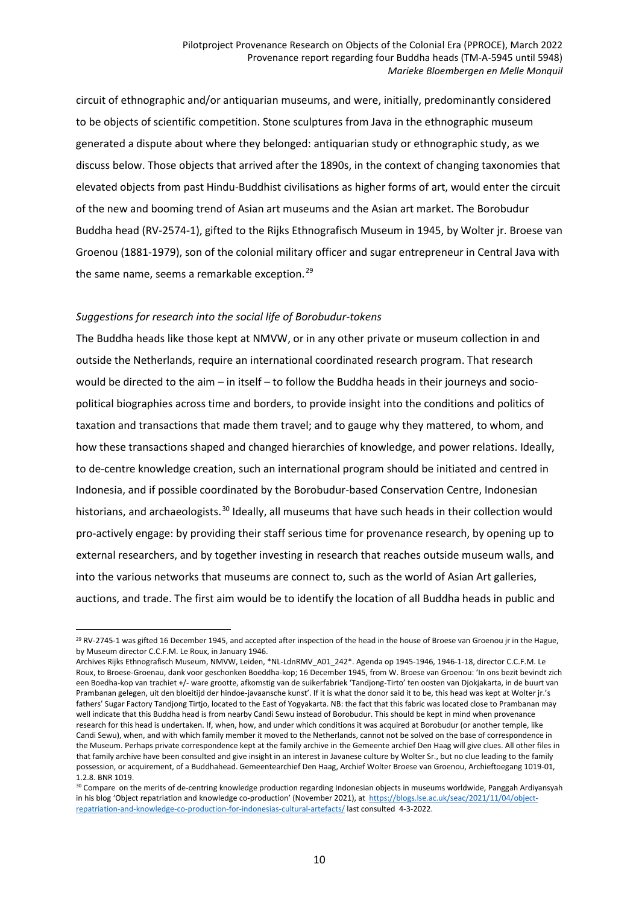circuit of ethnographic and/or antiquarian museums, and were, initially, predominantly considered to be objects of scientific competition. Stone sculptures from Java in the ethnographic museum generated a dispute about where they belonged: antiquarian study or ethnographic study, as we discuss below. Those objects that arrived after the 1890s, in the context of changing taxonomies that elevated objects from past Hindu-Buddhist civilisations as higher forms of art, would enter the circuit of the new and booming trend of Asian art museums and the Asian art market. The Borobudur Buddha head (RV-2574-1), gifted to the Rijks Ethnografisch Museum in 1945, by Wolter jr. Broese van Groenou (1881-1979), son of the colonial military officer and sugar entrepreneur in Central Java with the same name, seems a remarkable exception.<sup>[29](#page-9-0)</sup>

### *Suggestions for research into the social life of Borobudur-tokens*

 $\overline{a}$ 

The Buddha heads like those kept at NMVW, or in any other private or museum collection in and outside the Netherlands, require an international coordinated research program. That research would be directed to the aim – in itself – to follow the Buddha heads in their journeys and sociopolitical biographies across time and borders, to provide insight into the conditions and politics of taxation and transactions that made them travel; and to gauge why they mattered, to whom, and how these transactions shaped and changed hierarchies of knowledge, and power relations. Ideally, to de-centre knowledge creation, such an international program should be initiated and centred in Indonesia, and if possible coordinated by the Borobudur-based Conservation Centre, Indonesian historians, and archaeologists.<sup>[30](#page-9-1)</sup> Ideally, all museums that have such heads in their collection would pro-actively engage: by providing their staff serious time for provenance research, by opening up to external researchers, and by together investing in research that reaches outside museum walls, and into the various networks that museums are connect to, such as the world of Asian Art galleries, auctions, and trade. The first aim would be to identify the location of all Buddha heads in public and

<span id="page-9-0"></span><sup>&</sup>lt;sup>29</sup> RV-2745-1 was gifted 16 December 1945, and accepted after inspection of the head in the house of Broese van Groenou jr in the Hague, by Museum director C.C.F.M. Le Roux, in January 1946.

Archives Rijks Ethnografisch Museum, NMVW, Leiden, \*NL-LdnRMV\_A01\_242\*. Agenda op 1945-1946, 1946-1-18, director C.C.F.M. Le Roux, to Broese-Groenau, dank voor geschonken Boeddha-kop; 16 December 1945, from W. Broese van Groenou: 'In ons bezit bevindt zich een Boedha-kop van trachiet +/- ware grootte, afkomstig van de suikerfabriek 'Tandjong-Tirto' ten oosten van Djokjakarta, in de buurt van Prambanan gelegen, uit den bloeitijd der hindoe-javaansche kunst'. If it is what the donor said it to be, this head was kept at Wolter jr.'s fathers' Sugar Factory Tandjong Tirtjo, located to the East of Yogyakarta. NB: the fact that this fabric was located close to Prambanan may well indicate that this Buddha head is from nearby Candi Sewu instead of Borobudur. This should be kept in mind when provenance research for this head is undertaken. If, when, how, and under which conditions it was acquired at Borobudur (or another temple, like Candi Sewu), when, and with which family member it moved to the Netherlands, cannot not be solved on the base of correspondence in the Museum. Perhaps private correspondence kept at the family archive in the Gemeente archief Den Haag will give clues. All other files in that family archive have been consulted and give insight in an interest in Javanese culture by Wolter Sr., but no clue leading to the family possession, or acquirement, of a Buddhahead. Gemeentearchief Den Haag, Archief Wolter Broese van Groenou, Archieftoegang 1019-01, 1.2.8. BNR 1019.

<span id="page-9-1"></span><sup>&</sup>lt;sup>30</sup> Compare on the merits of de-centring knowledge production regarding Indonesian objects in museums worldwide, Panggah Ardiyansyah in his blog 'Object repatriation and knowledge co-production' (November 2021), at [https://blogs.lse.ac.uk/seac/2021/11/04/object](https://blogs.lse.ac.uk/seac/2021/11/04/object-repatriation-and-knowledge-co-production-for-indonesias-cultural-artefacts/)[repatriation-and-knowledge-co-production-for-indonesias-cultural-artefacts/](https://blogs.lse.ac.uk/seac/2021/11/04/object-repatriation-and-knowledge-co-production-for-indonesias-cultural-artefacts/) last consulted 4-3-2022.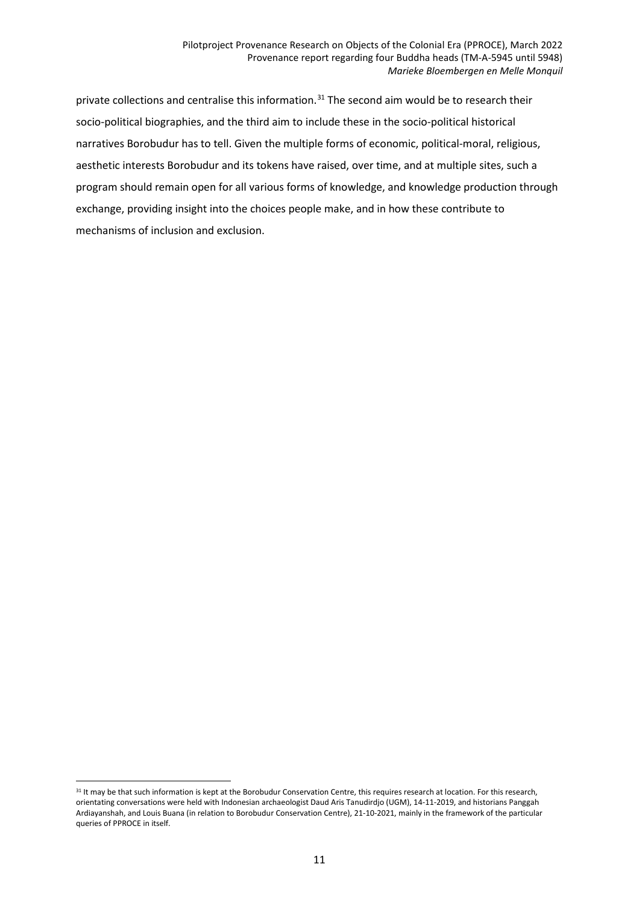private collections and centralise this information.<sup>[31](#page-10-0)</sup> The second aim would be to research their socio-political biographies, and the third aim to include these in the socio-political historical narratives Borobudur has to tell. Given the multiple forms of economic, political-moral, religious, aesthetic interests Borobudur and its tokens have raised, over time, and at multiple sites, such a program should remain open for all various forms of knowledge, and knowledge production through exchange, providing insight into the choices people make, and in how these contribute to mechanisms of inclusion and exclusion.

<span id="page-10-0"></span> $\overline{a}$ <sup>31</sup> It may be that such information is kept at the Borobudur Conservation Centre, this requires research at location. For this research, orientating conversations were held with Indonesian archaeologist Daud Aris Tanudirdjo (UGM), 14-11-2019, and historians Panggah Ardiayanshah, and Louis Buana (in relation to Borobudur Conservation Centre), 21-10-2021, mainly in the framework of the particular queries of PPROCE in itself.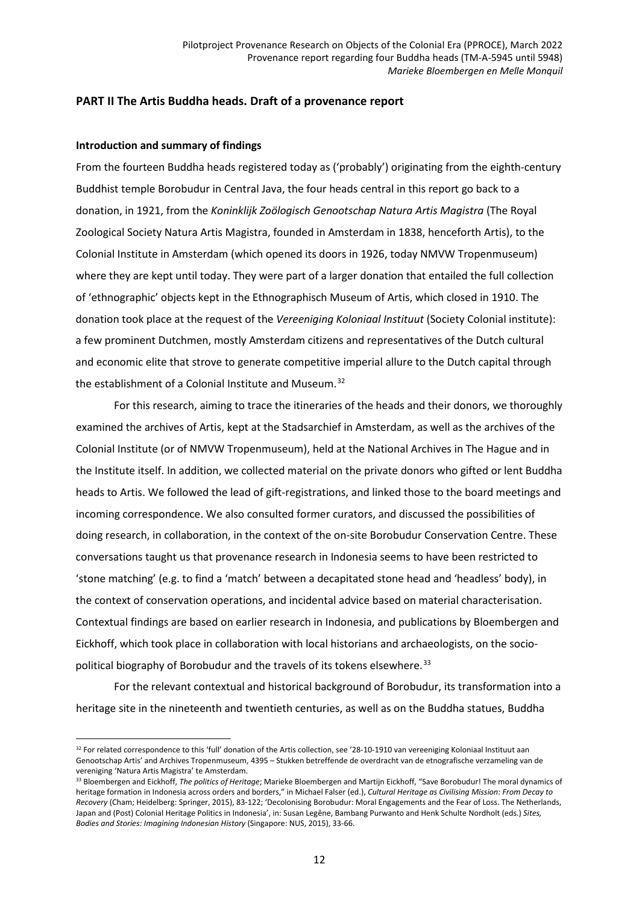# **PART II The Artis Buddha heads. Draft of a provenance report**

### **Introduction and summary of findings**

From the fourteen Buddha heads registered today as ('probably') originating from the eighth-century Buddhist temple Borobudur in Central Java, the four heads central in this report go back to a donation, in 1921, from the *Koninklijk Zoölogisch Genootschap Natura Artis Magistra* (The Royal Zoological Society Natura Artis Magistra, founded in Amsterdam in 1838, henceforth Artis), to the Colonial Institute in Amsterdam (which opened its doors in 1926, today NMVW Tropenmuseum) where they are kept until today. They were part of a larger donation that entailed the full collection of 'ethnographic' objects kept in the Ethnographisch Museum of Artis, which closed in 1910. The donation took place at the request of the *Vereeniging Koloniaal Instituut* (Society Colonial institute): a few prominent Dutchmen, mostly Amsterdam citizens and representatives of the Dutch cultural and economic elite that strove to generate competitive imperial allure to the Dutch capital through the establishment of a Colonial Institute and Museum.<sup>[32](#page-11-0)</sup>

For this research, aiming to trace the itineraries of the heads and their donors, we thoroughly examined the archives of Artis, kept at the Stadsarchief in Amsterdam, as well as the archives of the Colonial Institute (or of NMVW Tropenmuseum), held at the National Archives in The Hague and in the Institute itself. In addition, we collected material on the private donors who gifted or lent Buddha heads to Artis. We followed the lead of gift-registrations, and linked those to the board meetings and incoming correspondence. We also consulted former curators, and discussed the possibilities of doing research, in collaboration, in the context of the on-site Borobudur Conservation Centre. These conversations taught us that provenance research in Indonesia seems to have been restricted to 'stone matching' (e.g. to find a 'match' between a decapitated stone head and 'headless' body), in the context of conservation operations, and incidental advice based on material characterisation. Contextual findings are based on earlier research in Indonesia, and publications by Bloembergen and Eickhoff, which took place in collaboration with local historians and archaeologists, on the socio-political biography of Borobudur and the travels of its tokens elsewhere.<sup>[33](#page-11-1)</sup>

For the relevant contextual and historical background of Borobudur, its transformation into a heritage site in the nineteenth and twentieth centuries, as well as on the Buddha statues, Buddha

<span id="page-11-0"></span> $\overline{a}$ 32 For related correspondence to this 'full' donation of the Artis collection, see '28-10-1910 van vereeniging Koloniaal Instituut aan Genootschap Artis' and Archives Tropenmuseum, 4395 – Stukken betreffende de overdracht van de etnografische verzameling van de vereniging 'Natura Artis Magistra' te Amsterdam.

<span id="page-11-1"></span><sup>33</sup> Bloembergen and Eickhoff, *The politics of Heritage*; Marieke Bloembergen and Martijn Eickhoff, "Save Borobudur! The moral dynamics of heritage formation in Indonesia across orders and borders," in Michael Falser (ed.), *Cultural Heritage as Civilising Mission: From Decay to Recovery* (Cham; Heidelberg: Springer, 2015), 83-122; 'Decolonising Borobudur: Moral Engagements and the Fear of Loss. The Netherlands, Japan and (Post) Colonial Heritage Politics in Indonesia', in: Susan Legêne, Bambang Purwanto and Henk Schulte Nordholt (eds.) *Sites, Bodies and Stories: Imagining Indonesian History* (Singapore: NUS, 2015), 33-66.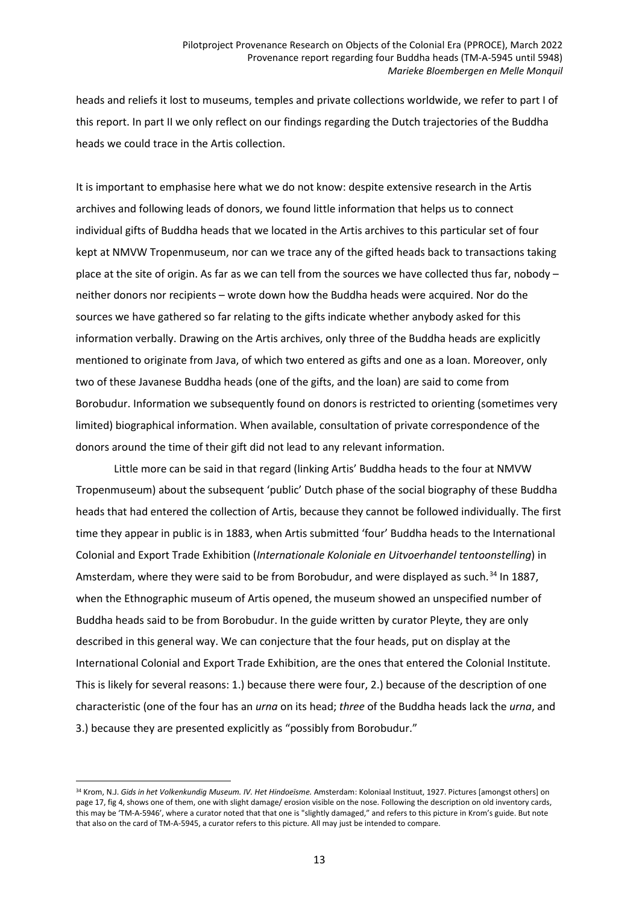heads and reliefs it lost to museums, temples and private collections worldwide, we refer to part I of this report. In part II we only reflect on our findings regarding the Dutch trajectories of the Buddha heads we could trace in the Artis collection.

It is important to emphasise here what we do not know: despite extensive research in the Artis archives and following leads of donors, we found little information that helps us to connect individual gifts of Buddha heads that we located in the Artis archives to this particular set of four kept at NMVW Tropenmuseum, nor can we trace any of the gifted heads back to transactions taking place at the site of origin. As far as we can tell from the sources we have collected thus far, nobody – neither donors nor recipients – wrote down how the Buddha heads were acquired. Nor do the sources we have gathered so far relating to the gifts indicate whether anybody asked for this information verbally. Drawing on the Artis archives, only three of the Buddha heads are explicitly mentioned to originate from Java, of which two entered as gifts and one as a loan. Moreover, only two of these Javanese Buddha heads (one of the gifts, and the loan) are said to come from Borobudur. Information we subsequently found on donors is restricted to orienting (sometimes very limited) biographical information. When available, consultation of private correspondence of the donors around the time of their gift did not lead to any relevant information.

Little more can be said in that regard (linking Artis' Buddha heads to the four at NMVW Tropenmuseum) about the subsequent 'public' Dutch phase of the social biography of these Buddha heads that had entered the collection of Artis, because they cannot be followed individually. The first time they appear in public is in 1883, when Artis submitted 'four' Buddha heads to the International Colonial and Export Trade Exhibition (*Internationale Koloniale en Uitvoerhandel tentoonstelling*) in Amsterdam, where they were said to be from Borobudur, and were displayed as such.<sup>[34](#page-12-0)</sup> In 1887, when the Ethnographic museum of Artis opened, the museum showed an unspecified number of Buddha heads said to be from Borobudur. In the guide written by curator Pleyte, they are only described in this general way. We can conjecture that the four heads, put on display at the International Colonial and Export Trade Exhibition, are the ones that entered the Colonial Institute. This is likely for several reasons: 1.) because there were four, 2.) because of the description of one characteristic (one of the four has an *urna* on its head; *three* of the Buddha heads lack the *urna*, and 3.) because they are presented explicitly as "possibly from Borobudur."

<span id="page-12-0"></span><sup>34</sup> Krom, N.J. *Gids in het Volkenkundig Museum. IV. Het Hindoeïsme.* Amsterdam: Koloniaal Instituut, 1927. Pictures [amongst others] on page 17, fig 4, shows one of them, one with slight damage/ erosion visible on the nose. Following the description on old inventory cards, this may be 'TM-A-5946', where a curator noted that that one is "slightly damaged," and refers to this picture in Krom's guide. But note that also on the card of TM-A-5945, a curator refers to this picture. All may just be intended to compare.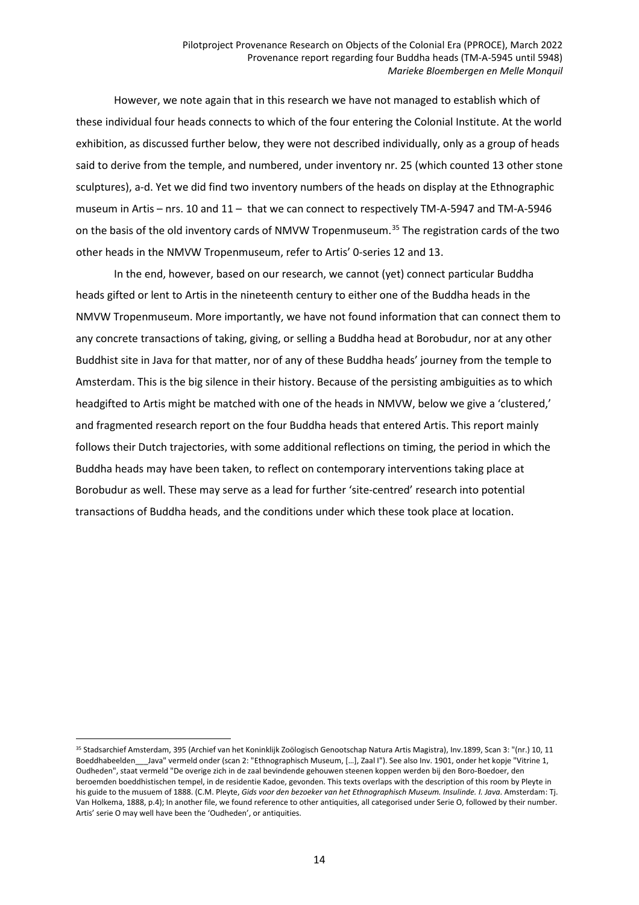However, we note again that in this research we have not managed to establish which of these individual four heads connects to which of the four entering the Colonial Institute. At the world exhibition, as discussed further below, they were not described individually, only as a group of heads said to derive from the temple, and numbered, under inventory nr. 25 (which counted 13 other stone sculptures), a-d. Yet we did find two inventory numbers of the heads on display at the Ethnographic museum in Artis – nrs. 10 and 11 – that we can connect to respectively TM-A-5947 and TM-A-5946 on the basis of the old inventory cards of NMVW Tropenmuseum.<sup>[35](#page-13-0)</sup> The registration cards of the two other heads in the NMVW Tropenmuseum, refer to Artis' 0-series 12 and 13.

In the end, however, based on our research, we cannot (yet) connect particular Buddha heads gifted or lent to Artis in the nineteenth century to either one of the Buddha heads in the NMVW Tropenmuseum. More importantly, we have not found information that can connect them to any concrete transactions of taking, giving, or selling a Buddha head at Borobudur, nor at any other Buddhist site in Java for that matter, nor of any of these Buddha heads' journey from the temple to Amsterdam. This is the big silence in their history. Because of the persisting ambiguities as to which headgifted to Artis might be matched with one of the heads in NMVW, below we give a 'clustered,' and fragmented research report on the four Buddha heads that entered Artis. This report mainly follows their Dutch trajectories, with some additional reflections on timing, the period in which the Buddha heads may have been taken, to reflect on contemporary interventions taking place at Borobudur as well. These may serve as a lead for further 'site-centred' research into potential transactions of Buddha heads, and the conditions under which these took place at location.

<span id="page-13-0"></span><sup>35</sup> Stadsarchief Amsterdam, 395 (Archief van het Koninklijk Zoölogisch Genootschap Natura Artis Magistra), Inv.1899, Scan 3: "(nr.) 10, 11 Boeddhabeelden Java" vermeld onder (scan 2: "Ethnographisch Museum, […], Zaal I"). See also Inv. 1901, onder het kopje "Vitrine 1, Oudheden", staat vermeld "De overige zich in de zaal bevindende gehouwen steenen koppen werden bij den Boro-Boedoer, den beroemden boeddhistischen tempel, in de residentie Kadoe, gevonden. This texts overlaps with the description of this room by Pleyte in his guide to the musuem of 1888. (C.M. Pleyte, *Gids voor den bezoeker van het Ethnographisch Museum. Insulinde. I. Java*. Amsterdam: Tj. Van Holkema, 1888, p.4); In another file, we found reference to other antiquities, all categorised under Serie O, followed by their number. Artis' serie O may well have been the 'Oudheden', or antiquities.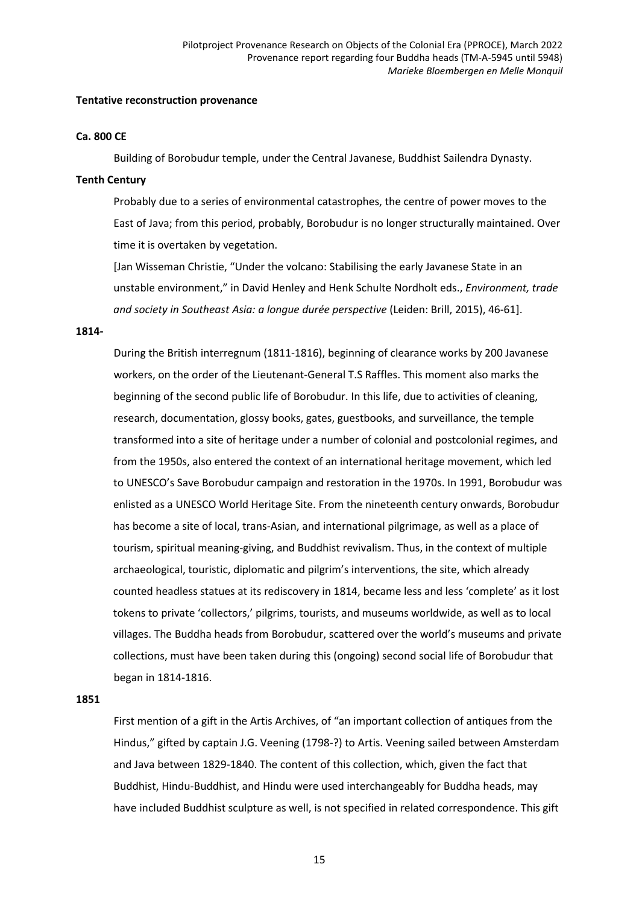#### **Tentative reconstruction provenance**

### **Ca. 800 CE**

Building of Borobudur temple, under the Central Javanese, Buddhist Sailendra Dynasty.

### **Tenth Century**

Probably due to a series of environmental catastrophes, the centre of power moves to the East of Java; from this period, probably, Borobudur is no longer structurally maintained. Over time it is overtaken by vegetation.

[Jan Wisseman Christie, "Under the volcano: Stabilising the early Javanese State in an unstable environment," in David Henley and Henk Schulte Nordholt eds., *Environment, trade and society in Southeast Asia: a longue durée perspective* (Leiden: Brill, 2015), 46-61].

#### **1814-**

During the British interregnum (1811-1816), beginning of clearance works by 200 Javanese workers, on the order of the Lieutenant-General T.S Raffles. This moment also marks the beginning of the second public life of Borobudur. In this life, due to activities of cleaning, research, documentation, glossy books, gates, guestbooks, and surveillance, the temple transformed into a site of heritage under a number of colonial and postcolonial regimes, and from the 1950s, also entered the context of an international heritage movement, which led to UNESCO's Save Borobudur campaign and restoration in the 1970s. In 1991, Borobudur was enlisted as a UNESCO World Heritage Site. From the nineteenth century onwards, Borobudur has become a site of local, trans-Asian, and international pilgrimage, as well as a place of tourism, spiritual meaning-giving, and Buddhist revivalism. Thus, in the context of multiple archaeological, touristic, diplomatic and pilgrim's interventions, the site, which already counted headless statues at its rediscovery in 1814, became less and less 'complete' as it lost tokens to private 'collectors,' pilgrims, tourists, and museums worldwide, as well as to local villages. The Buddha heads from Borobudur, scattered over the world's museums and private collections, must have been taken during this (ongoing) second social life of Borobudur that began in 1814-1816.

#### **1851**

First mention of a gift in the Artis Archives, of "an important collection of antiques from the Hindus," gifted by captain J.G. Veening (1798-?) to Artis. Veening sailed between Amsterdam and Java between 1829-1840. The content of this collection, which, given the fact that Buddhist, Hindu-Buddhist, and Hindu were used interchangeably for Buddha heads, may have included Buddhist sculpture as well, is not specified in related correspondence. This gift

15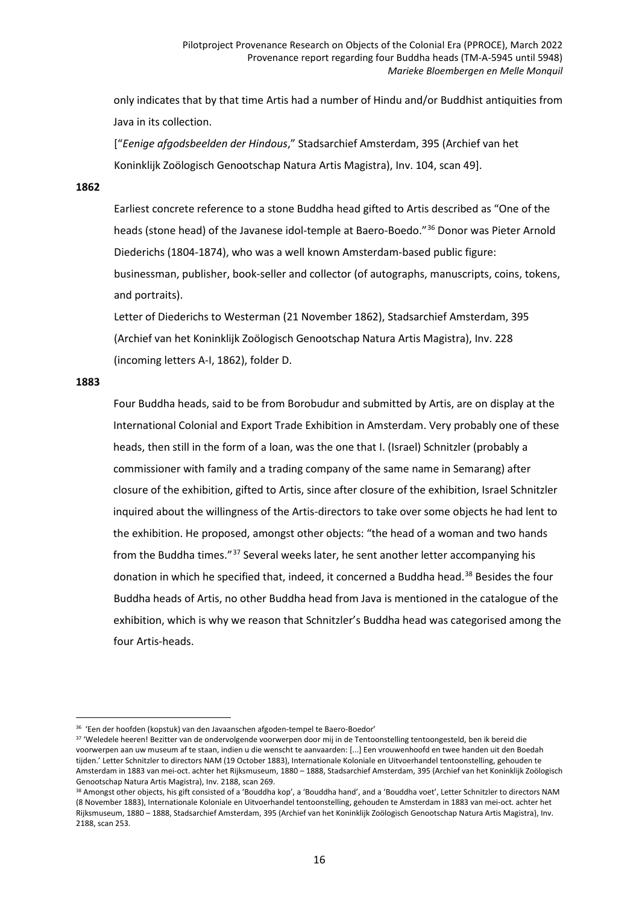only indicates that by that time Artis had a number of Hindu and/or Buddhist antiquities from Java in its collection.

["*Eenige afgodsbeelden der Hindous*," Stadsarchief Amsterdam, 395 (Archief van het Koninklijk Zoölogisch Genootschap Natura Artis Magistra), Inv. 104, scan 49].

### **1862**

Earliest concrete reference to a stone Buddha head gifted to Artis described as "One of the heads (stone head) of the Javanese idol-temple at Baero-Boedo."[36](#page-15-0) Donor was Pieter Arnold Diederichs (1804-1874), who was a well known Amsterdam-based public figure: businessman, publisher, book-seller and collector (of autographs, manuscripts, coins, tokens, and portraits).

Letter of Diederichs to Westerman (21 November 1862), Stadsarchief Amsterdam, 395 (Archief van het Koninklijk Zoölogisch Genootschap Natura Artis Magistra), Inv. 228 (incoming letters A-I, 1862), folder D.

#### **1883**

Four Buddha heads, said to be from Borobudur and submitted by Artis, are on display at the International Colonial and Export Trade Exhibition in Amsterdam. Very probably one of these heads, then still in the form of a loan, was the one that I. (Israel) Schnitzler (probably a commissioner with family and a trading company of the same name in Semarang) after closure of the exhibition, gifted to Artis, since after closure of the exhibition, Israel Schnitzler inquired about the willingness of the Artis-directors to take over some objects he had lent to the exhibition. He proposed, amongst other objects: "the head of a woman and two hands from the Buddha times."[37](#page-15-1) Several weeks later, he sent another letter accompanying his donation in which he specified that, indeed, it concerned a Buddha head.<sup>[38](#page-15-2)</sup> Besides the four Buddha heads of Artis, no other Buddha head from Java is mentioned in the catalogue of the exhibition, which is why we reason that Schnitzler's Buddha head was categorised among the four Artis-heads.

 $\overline{a}$ 36 'Een der hoofden (kopstuk) van den Javaanschen afgoden-tempel te Baero-Boedor'

<span id="page-15-1"></span><span id="page-15-0"></span><sup>&</sup>lt;sup>37</sup> 'Weledele heeren! Bezitter van de ondervolgende voorwerpen door mij in de Tentoonstelling tentoongesteld, ben ik bereid die voorwerpen aan uw museum af te staan, indien u die wenscht te aanvaarden: [...] Een vrouwenhoofd en twee handen uit den Boedah tijden.' Letter Schnitzler to directors NAM (19 October 1883), Internationale Koloniale en Uitvoerhandel tentoonstelling, gehouden te Amsterdam in 1883 van mei-oct. achter het Rijksmuseum, 1880 – 1888, Stadsarchief Amsterdam, 395 (Archief van het Koninklijk Zoölogisch Genootschap Natura Artis Magistra), Inv. 2188, scan 269.

<span id="page-15-2"></span><sup>38</sup> Amongst other objects, his gift consisted of a 'Bouddha kop', a 'Bouddha hand', and a 'Bouddha voet', Letter Schnitzler to directors NAM (8 November 1883), Internationale Koloniale en Uitvoerhandel tentoonstelling, gehouden te Amsterdam in 1883 van mei-oct. achter het Rijksmuseum, 1880 – 1888, Stadsarchief Amsterdam, 395 (Archief van het Koninklijk Zoölogisch Genootschap Natura Artis Magistra), Inv. 2188, scan 253.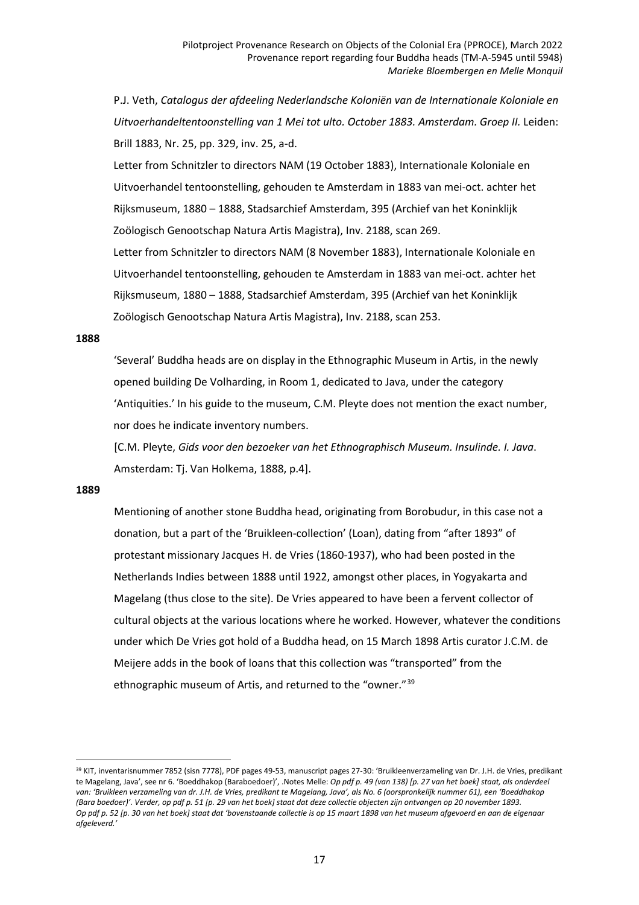P.J. Veth, *Catalogus der afdeeling Nederlandsche Koloniën van de Internationale Koloniale en Uitvoerhandeltentoonstelling van 1 Mei tot ulto. October 1883. Amsterdam. Groep II.* Leiden: Brill 1883, Nr. 25, pp. 329, inv. 25, a-d.

Letter from Schnitzler to directors NAM (19 October 1883), Internationale Koloniale en Uitvoerhandel tentoonstelling, gehouden te Amsterdam in 1883 van mei-oct. achter het Rijksmuseum, 1880 – 1888, Stadsarchief Amsterdam, 395 (Archief van het Koninklijk Zoölogisch Genootschap Natura Artis Magistra), Inv. 2188, scan 269.

Letter from Schnitzler to directors NAM (8 November 1883), Internationale Koloniale en Uitvoerhandel tentoonstelling, gehouden te Amsterdam in 1883 van mei-oct. achter het Rijksmuseum, 1880 – 1888, Stadsarchief Amsterdam, 395 (Archief van het Koninklijk Zoölogisch Genootschap Natura Artis Magistra), Inv. 2188, scan 253.

#### **1888**

'Several' Buddha heads are on display in the Ethnographic Museum in Artis, in the newly opened building De Volharding, in Room 1, dedicated to Java, under the category 'Antiquities.' In his guide to the museum, C.M. Pleyte does not mention the exact number, nor does he indicate inventory numbers.

[C.M. Pleyte, *Gids voor den bezoeker van het Ethnographisch Museum. Insulinde. I. Java*. Amsterdam: Tj. Van Holkema, 1888, p.4].

### **1889**

Mentioning of another stone Buddha head, originating from Borobudur, in this case not a donation, but a part of the 'Bruikleen-collection' (Loan), dating from "after 1893" of protestant missionary Jacques H. de Vries (1860-1937), who had been posted in the Netherlands Indies between 1888 until 1922, amongst other places, in Yogyakarta and Magelang (thus close to the site). De Vries appeared to have been a fervent collector of cultural objects at the various locations where he worked. However, whatever the conditions under which De Vries got hold of a Buddha head, on 15 March 1898 Artis curator J.C.M. de Meijere adds in the book of loans that this collection was "transported" from the ethnographic museum of Artis, and returned to the "owner."[39](#page-16-0)

<span id="page-16-0"></span> $\overline{a}$ 39 KIT, inventarisnummer 7852 (sisn 7778), PDF pages 49-53, manuscript pages 27-30: 'Bruikleenverzameling van Dr. J.H. de Vries, predikant te Magelang, Java', see nr 6. 'Boeddhakop (Baraboedoer)', Notes Melle: Op pdf p. 49 (van 138) [p. 27 van het boek] staat, als onderdeel van: 'Bruikleen verzameling van dr. J.H. de Vries, predikant te Magelang, Java', als No. 6 (oorspronkelijk nummer 61), een 'Boeddhakop (Bara boedoer)'. Verder, op pdf p. 51 [p. 29 van het boek] staat dat deze collectie objecten zijn ontvangen op 20 november 1893. Op pdf p. 52 [p. 30 van het boek] staat dat 'bovenstaande collectie is op 15 maart 1898 van het museum afgevoerd en aan de eigenaar *afgeleverd.'*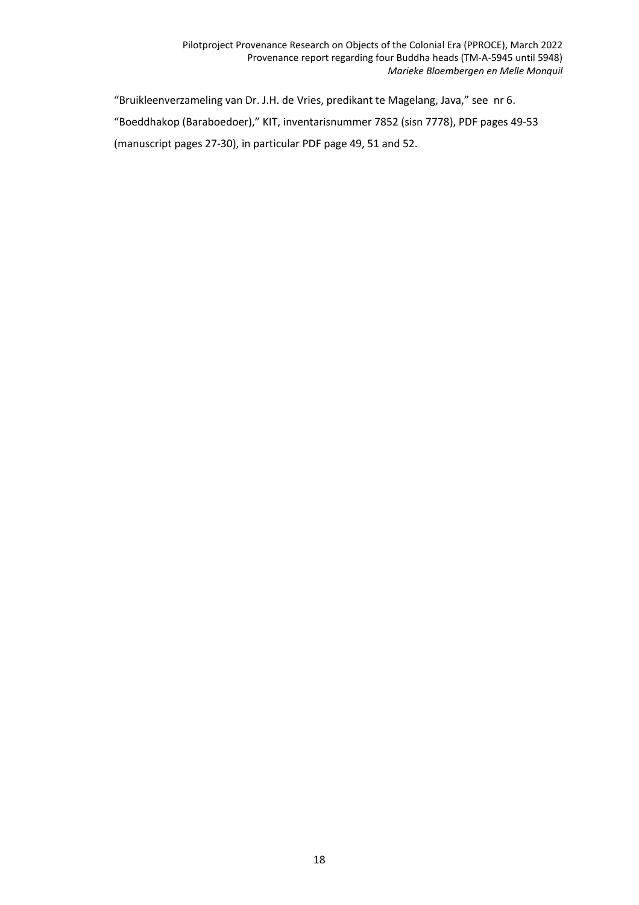"Bruikleenverzameling van Dr. J.H. de Vries, predikant te Magelang, Java," see nr 6. "Boeddhakop (Baraboedoer)," KIT, inventarisnummer 7852 (sisn 7778), PDF pages 49-53 (manuscript pages 27-30), in particular PDF page 49, 51 and 52.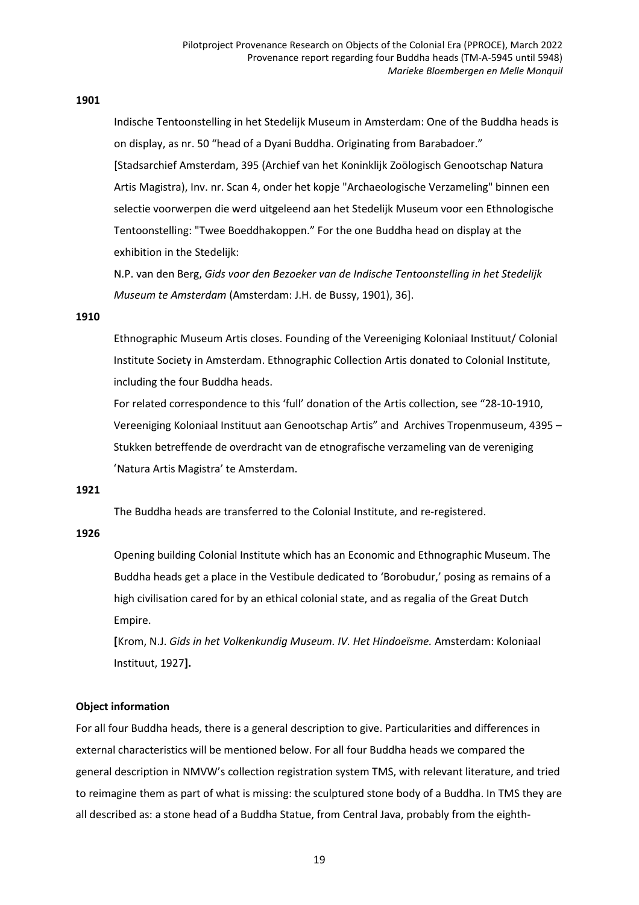## **1901**

Indische Tentoonstelling in het Stedelijk Museum in Amsterdam: One of the Buddha heads is on display, as nr. 50 "head of a Dyani Buddha. Originating from Barabadoer." [Stadsarchief Amsterdam, 395 (Archief van het Koninklijk Zoölogisch Genootschap Natura Artis Magistra), Inv. nr. Scan 4, onder het kopje "Archaeologische Verzameling" binnen een selectie voorwerpen die werd uitgeleend aan het Stedelijk Museum voor een Ethnologische Tentoonstelling: "Twee Boeddhakoppen." For the one Buddha head on display at the exhibition in the Stedelijk:

N.P. van den Berg, *Gids voor den Bezoeker van de Indische Tentoonstelling in het Stedelijk Museum te Amsterdam* (Amsterdam: J.H. de Bussy, 1901), 36].

#### **1910**

Ethnographic Museum Artis closes. Founding of the Vereeniging Koloniaal Instituut/ Colonial Institute Society in Amsterdam. Ethnographic Collection Artis donated to Colonial Institute, including the four Buddha heads.

For related correspondence to this 'full' donation of the Artis collection, see "28-10-1910, Vereeniging Koloniaal Instituut aan Genootschap Artis" and Archives Tropenmuseum, 4395 – Stukken betreffende de overdracht van de etnografische verzameling van de vereniging 'Natura Artis Magistra' te Amsterdam.

### **1921**

The Buddha heads are transferred to the Colonial Institute, and re-registered.

#### **1926**

Opening building Colonial Institute which has an Economic and Ethnographic Museum. The Buddha heads get a place in the Vestibule dedicated to 'Borobudur,' posing as remains of a high civilisation cared for by an ethical colonial state, and as regalia of the Great Dutch Empire.

**[**Krom, N.J. *Gids in het Volkenkundig Museum. IV. Het Hindoeïsme.* Amsterdam: Koloniaal Instituut, 1927**].**

#### **Object information**

For all four Buddha heads, there is a general description to give. Particularities and differences in external characteristics will be mentioned below. For all four Buddha heads we compared the general description in NMVW's collection registration system TMS, with relevant literature, and tried to reimagine them as part of what is missing: the sculptured stone body of a Buddha. In TMS they are all described as: a stone head of a Buddha Statue, from Central Java, probably from the eighth-

19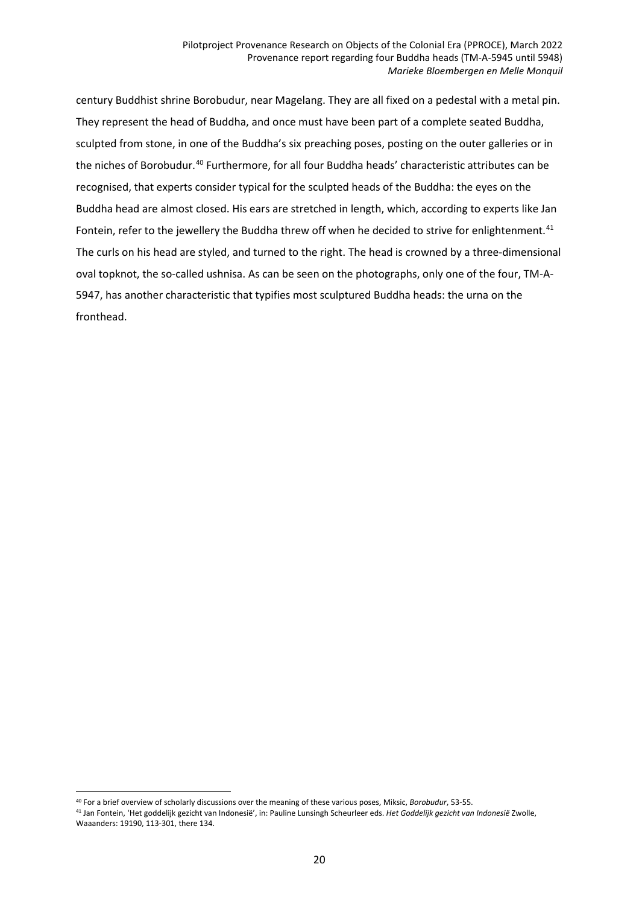century Buddhist shrine Borobudur, near Magelang. They are all fixed on a pedestal with a metal pin. They represent the head of Buddha, and once must have been part of a complete seated Buddha, sculpted from stone, in one of the Buddha's six preaching poses, posting on the outer galleries or in the niches of Borobudur.<sup>[40](#page-19-0)</sup> Furthermore, for all four Buddha heads' characteristic attributes can be recognised, that experts consider typical for the sculpted heads of the Buddha: the eyes on the Buddha head are almost closed. His ears are stretched in length, which, according to experts like Jan Fontein, refer to the jewellery the Buddha threw off when he decided to strive for enlightenment.<sup>[41](#page-19-1)</sup> The curls on his head are styled, and turned to the right. The head is crowned by a three-dimensional oval topknot, the so-called ushnisa. As can be seen on the photographs, only one of the four, TM-A-5947, has another characteristic that typifies most sculptured Buddha heads: the urna on the fronthead.

 $\overline{a}$ <sup>40</sup> For a brief overview of scholarly discussions over the meaning of these various poses, Miksic, *Borobudur*, 53-55.

<span id="page-19-1"></span><span id="page-19-0"></span><sup>41</sup> Jan Fontein, 'Het goddelijk gezicht van Indonesië', in: Pauline Lunsingh Scheurleer eds. *Het Goddelijk gezicht van Indonesië* Zwolle, Waaanders: 19190, 113-301, there 134.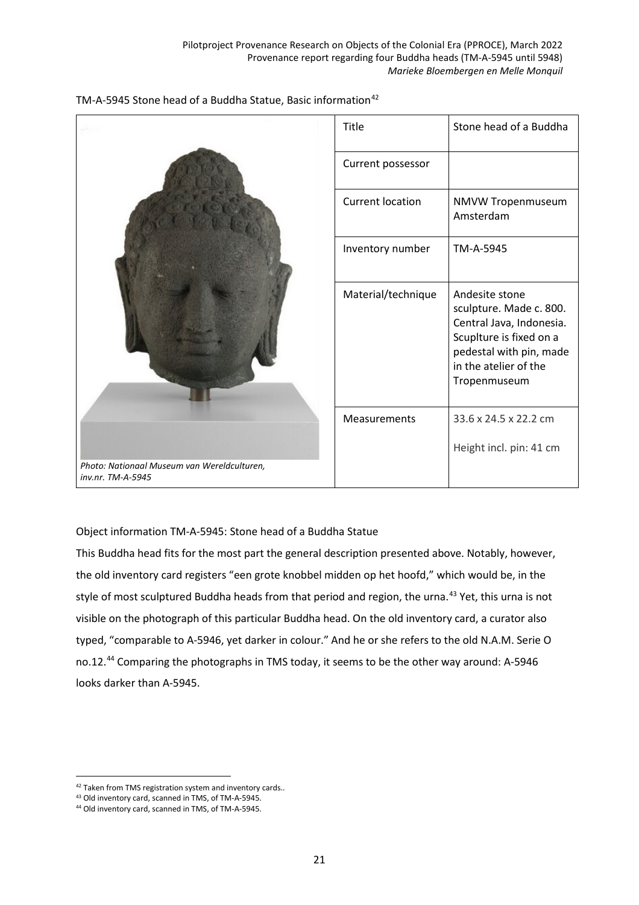

# TM-A-5945 Stone head of a Buddha Statue, Basic information<sup>[42](#page-20-0)</sup>

Object information TM-A-5945: Stone head of a Buddha Statue

This Buddha head fits for the most part the general description presented above. Notably, however, the old inventory card registers "een grote knobbel midden op het hoofd," which would be, in the style of most sculptured Buddha heads from that period and region, the urna.<sup>[43](#page-20-1)</sup> Yet, this urna is not visible on the photograph of this particular Buddha head. On the old inventory card, a curator also typed, "comparable to A-5946, yet darker in colour." And he or she refers to the old N.A.M. Serie O no.12.<sup>[44](#page-20-2)</sup> Comparing the photographs in TMS today, it seems to be the other way around: A-5946 looks darker than A-5945.

<span id="page-20-0"></span><sup>&</sup>lt;sup>42</sup> Taken from TMS registration system and inventory cards..

<span id="page-20-1"></span><sup>43</sup> Old inventory card, scanned in TMS, of TM-A-5945.

<span id="page-20-2"></span><sup>44</sup> Old inventory card, scanned in TMS, of TM-A-5945.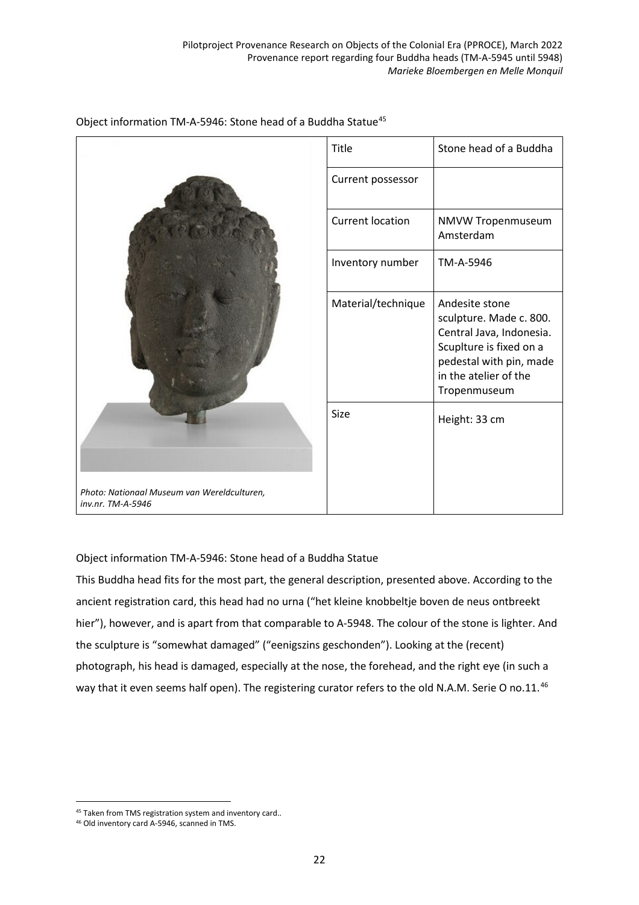|                                                                  | Title                   | Stone head of a Buddha                                                                                                                                               |
|------------------------------------------------------------------|-------------------------|----------------------------------------------------------------------------------------------------------------------------------------------------------------------|
|                                                                  | Current possessor       |                                                                                                                                                                      |
|                                                                  | <b>Current location</b> | NMVW Tropenmuseum<br>Amsterdam                                                                                                                                       |
|                                                                  | Inventory number        | TM-A-5946                                                                                                                                                            |
|                                                                  | Material/technique      | Andesite stone<br>sculpture. Made c. 800.<br>Central Java, Indonesia.<br>Scuplture is fixed on a<br>pedestal with pin, made<br>in the atelier of the<br>Tropenmuseum |
|                                                                  | Size                    | Height: 33 cm                                                                                                                                                        |
| Photo: Nationaal Museum van Wereldculturen,<br>inv.nr. TM-A-5946 |                         |                                                                                                                                                                      |

### Object information TM-A-5946: Stone head of a Buddha Statue<sup>[45](#page-21-0)</sup>

Object information TM-A-5946: Stone head of a Buddha Statue

This Buddha head fits for the most part, the general description, presented above. According to the ancient registration card, this head had no urna ("het kleine knobbeltje boven de neus ontbreekt hier"), however, and is apart from that comparable to A-5948. The colour of the stone is lighter. And the sculpture is "somewhat damaged" ("eenigszins geschonden"). Looking at the (recent) photograph, his head is damaged, especially at the nose, the forehead, and the right eye (in such a way that it even seems half open). The registering curator refers to the old N.A.M. Serie O no.11.<sup>[46](#page-21-1)</sup>

<span id="page-21-0"></span><sup>45</sup> Taken from TMS registration system and inventory card..

<span id="page-21-1"></span><sup>46</sup> Old inventory card A-5946, scanned in TMS.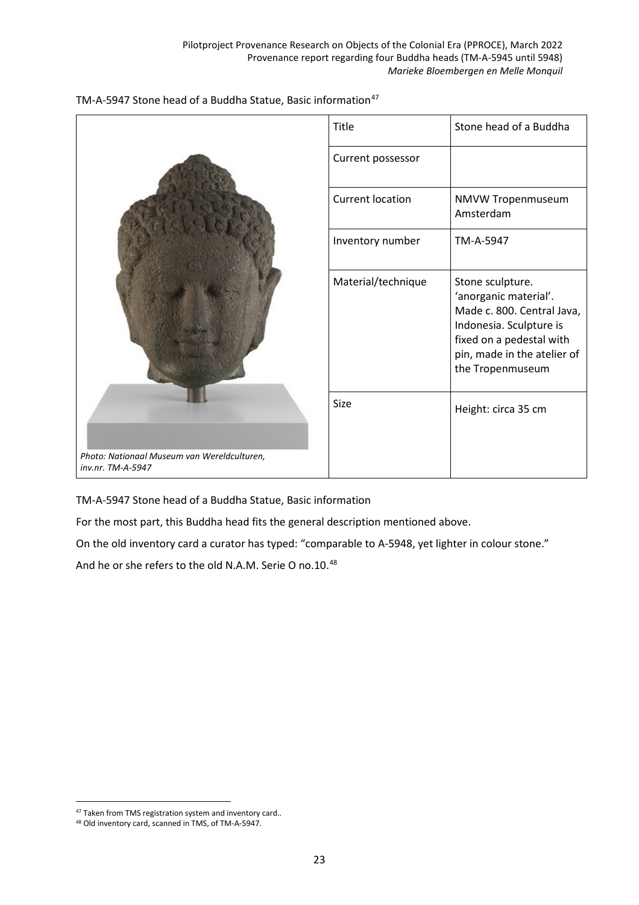

|                                                                  | Title                   | Stone head of a Buddha                                                                                                                                                            |
|------------------------------------------------------------------|-------------------------|-----------------------------------------------------------------------------------------------------------------------------------------------------------------------------------|
|                                                                  | Current possessor       |                                                                                                                                                                                   |
|                                                                  | <b>Current location</b> | NMVW Tropenmuseum<br>Amsterdam                                                                                                                                                    |
|                                                                  | Inventory number        | TM-A-5947                                                                                                                                                                         |
|                                                                  | Material/technique      | Stone sculpture.<br>'anorganic material'.<br>Made c. 800. Central Java,<br>Indonesia. Sculpture is<br>fixed on a pedestal with<br>pin, made in the atelier of<br>the Tropenmuseum |
|                                                                  | Size                    | Height: circa 35 cm                                                                                                                                                               |
| Photo: Nationaal Museum van Wereldculturen,<br>inv.nr. TM-A-5947 |                         |                                                                                                                                                                                   |

TM-A-5947 Stone head of a Buddha Statue, Basic information

For the most part, this Buddha head fits the general description mentioned above.

On the old inventory card a curator has typed: "comparable to A-5948, yet lighter in colour stone."

And he or she refers to the old N.A.M. Serie O no.10.<sup>[48](#page-22-1)</sup>

<span id="page-22-0"></span><sup>47</sup> Taken from TMS registration system and inventory card..

<span id="page-22-1"></span><sup>48</sup> Old inventory card, scanned in TMS, of TM-A-5947.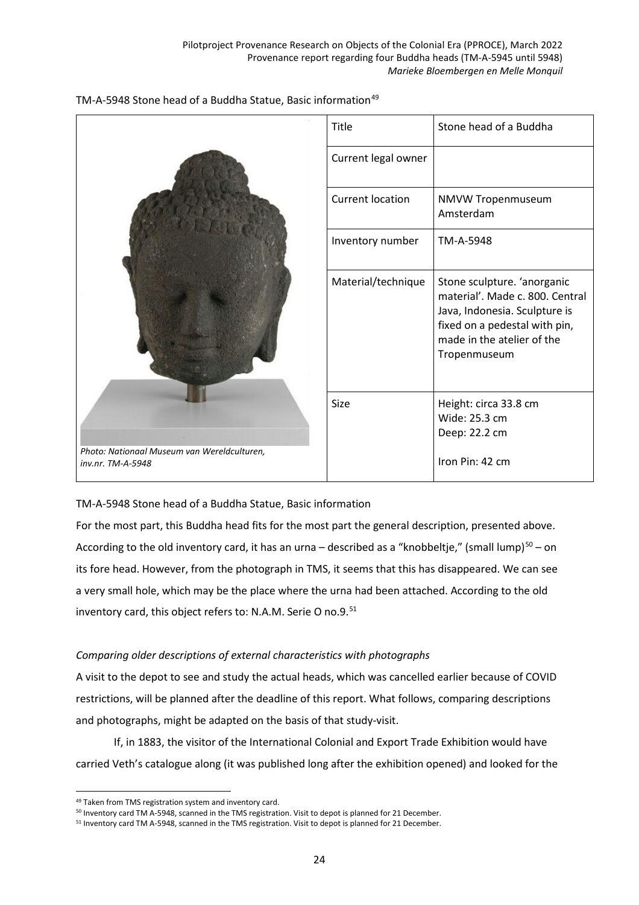

|                                                                  | Title                   | Stone head of a Buddha                                                                                                                                                         |
|------------------------------------------------------------------|-------------------------|--------------------------------------------------------------------------------------------------------------------------------------------------------------------------------|
|                                                                  | Current legal owner     |                                                                                                                                                                                |
|                                                                  | <b>Current location</b> | NMVW Tropenmuseum<br>Amsterdam                                                                                                                                                 |
|                                                                  | Inventory number        | TM-A-5948                                                                                                                                                                      |
|                                                                  | Material/technique      | Stone sculpture. 'anorganic<br>material'. Made c. 800. Central<br>Java, Indonesia. Sculpture is<br>fixed on a pedestal with pin,<br>made in the atelier of the<br>Tropenmuseum |
|                                                                  | Size                    | Height: circa 33.8 cm<br>Wide: 25.3 cm                                                                                                                                         |
| Photo: Nationaal Museum van Wereldculturen,<br>inv.nr. TM-A-5948 |                         | Deep: 22.2 cm<br>Iron Pin: 42 cm                                                                                                                                               |

TM-A-5948 Stone head of a Buddha Statue, Basic information

For the most part, this Buddha head fits for the most part the general description, presented above. According to the old inventory card, it has an urna – described as a "knobbeltje," (small lump) $50 50 -$  on its fore head. However, from the photograph in TMS, it seems that this has disappeared. We can see a very small hole, which may be the place where the urna had been attached. According to the old inventory card, this object refers to: N.A.M. Serie O no.9.<sup>[51](#page-23-2)</sup>

# *Comparing older descriptions of external characteristics with photographs*

A visit to the depot to see and study the actual heads, which was cancelled earlier because of COVID restrictions, will be planned after the deadline of this report. What follows, comparing descriptions and photographs, might be adapted on the basis of that study-visit.

If, in 1883, the visitor of the International Colonial and Export Trade Exhibition would have carried Veth's catalogue along (it was published long after the exhibition opened) and looked for the

 $\overline{a}$ 49 Taken from TMS registration system and inventory card.

<span id="page-23-1"></span><span id="page-23-0"></span><sup>50</sup> Inventory card TM A-5948, scanned in the TMS registration. Visit to depot is planned for 21 December.

<span id="page-23-2"></span><sup>&</sup>lt;sup>51</sup> Inventory card TM A-5948, scanned in the TMS registration. Visit to depot is planned for 21 December.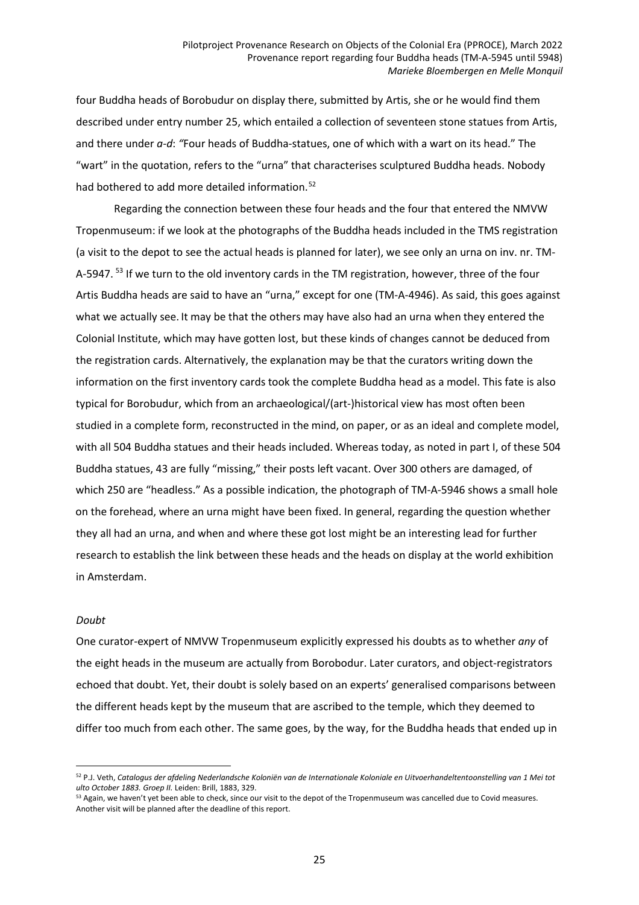four Buddha heads of Borobudur on display there, submitted by Artis, she or he would find them described under entry number 25, which entailed a collection of seventeen stone statues from Artis, and there under *a-d*: *"*Four heads of Buddha-statues, one of which with a wart on its head." The "wart" in the quotation, refers to the "urna" that characterises sculptured Buddha heads. Nobody had bothered to add more detailed information.<sup>[52](#page-24-0)</sup>

Regarding the connection between these four heads and the four that entered the NMVW Tropenmuseum: if we look at the photographs of the Buddha heads included in the TMS registration (a visit to the depot to see the actual heads is planned for later), we see only an urna on inv. nr. TM-A-5947.<sup>[53](#page-24-1)</sup> If we turn to the old inventory cards in the TM registration, however, three of the four Artis Buddha heads are said to have an "urna," except for one (TM-A-4946). As said, this goes against what we actually see. It may be that the others may have also had an urna when they entered the Colonial Institute, which may have gotten lost, but these kinds of changes cannot be deduced from the registration cards. Alternatively, the explanation may be that the curators writing down the information on the first inventory cards took the complete Buddha head as a model. This fate is also typical for Borobudur, which from an archaeological/(art-)historical view has most often been studied in a complete form, reconstructed in the mind, on paper, or as an ideal and complete model, with all 504 Buddha statues and their heads included. Whereas today, as noted in part I, of these 504 Buddha statues, 43 are fully "missing," their posts left vacant. Over 300 others are damaged, of which 250 are "headless." As a possible indication, the photograph of TM-A-5946 shows a small hole on the forehead, where an urna might have been fixed. In general, regarding the question whether they all had an urna, and when and where these got lost might be an interesting lead for further research to establish the link between these heads and the heads on display at the world exhibition in Amsterdam.

#### *Doubt*

 $\overline{a}$ 

One curator-expert of NMVW Tropenmuseum explicitly expressed his doubts as to whether *any* of the eight heads in the museum are actually from Borobodur. Later curators, and object-registrators echoed that doubt. Yet, their doubt is solely based on an experts' generalised comparisons between the different heads kept by the museum that are ascribed to the temple, which they deemed to differ too much from each other. The same goes, by the way, for the Buddha heads that ended up in

<span id="page-24-0"></span><sup>&</sup>lt;sup>52</sup> P.J. Veth, Catalogus der afdeling Nederlandsche Koloniën van de Internationale Koloniale en Uitvoerhandeltentoonstelling van 1 Mei tot *ulto October 1883. Groep II.* Leiden: Brill, 1883, 329.

<span id="page-24-1"></span><sup>53</sup> Again, we haven't yet been able to check, since our visit to the depot of the Tropenmuseum was cancelled due to Covid measures. Another visit will be planned after the deadline of this report.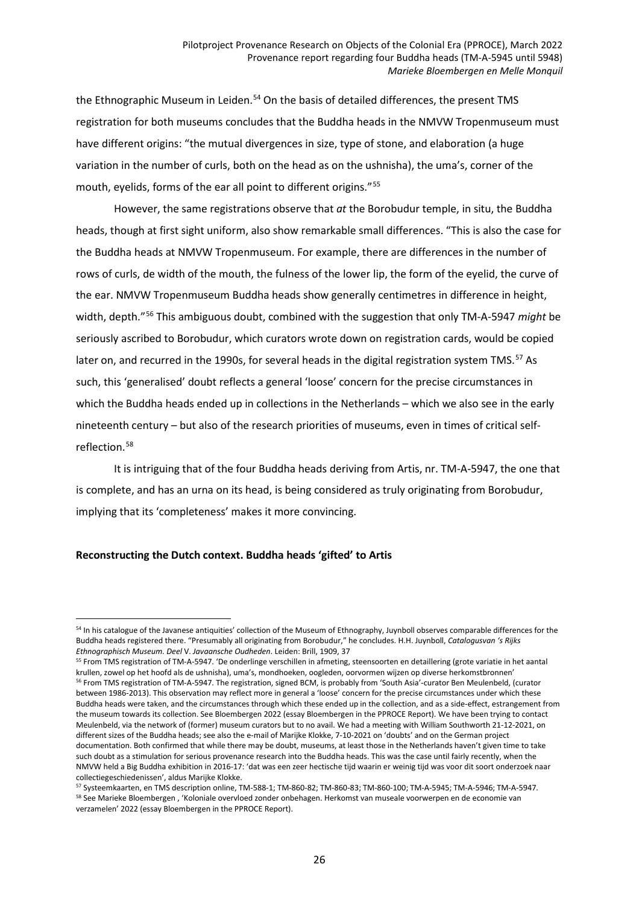the Ethnographic Museum in Leiden.<sup>[54](#page-25-0)</sup> On the basis of detailed differences, the present TMS registration for both museums concludes that the Buddha heads in the NMVW Tropenmuseum must have different origins: "the mutual divergences in size, type of stone, and elaboration (a huge variation in the number of curls, both on the head as on the ushnisha), the uma's, corner of the mouth, eyelids, forms of the ear all point to different origins."<sup>[55](#page-25-1)</sup>

However, the same registrations observe that *at* the Borobudur temple, in situ, the Buddha heads, though at first sight uniform, also show remarkable small differences. "This is also the case for the Buddha heads at NMVW Tropenmuseum. For example, there are differences in the number of rows of curls, de width of the mouth, the fulness of the lower lip, the form of the eyelid, the curve of the ear. NMVW Tropenmuseum Buddha heads show generally centimetres in difference in height, width, depth."[56](#page-25-2) This ambiguous doubt, combined with the suggestion that only TM-A-5947 *might* be seriously ascribed to Borobudur, which curators wrote down on registration cards, would be copied later on, and recurred in the 1990s, for several heads in the digital registration system TMS.<sup>[57](#page-25-3)</sup> As such, this 'generalised' doubt reflects a general 'loose' concern for the precise circumstances in which the Buddha heads ended up in collections in the Netherlands – which we also see in the early nineteenth century – but also of the research priorities of museums, even in times of critical selfreflection.[58](#page-25-4)

It is intriguing that of the four Buddha heads deriving from Artis, nr. TM-A-5947, the one that is complete, and has an urna on its head, is being considered as truly originating from Borobudur, implying that its 'completeness' makes it more convincing.

### **Reconstructing the Dutch context. Buddha heads 'gifted' to Artis**

<span id="page-25-0"></span><sup>54</sup> In his catalogue of the Javanese antiquities' collection of the Museum of Ethnography, Juynboll observes comparable differences for the Buddha heads registered there. "Presumably all originating from Borobudur," he concludes. H.H. Juynboll, *Catalogusvan 's Rijks Ethnographisch Museum. Deel* V. *Javaansche Oudheden*. Leiden: Brill, 1909, 37

<span id="page-25-1"></span><sup>&</sup>lt;sup>55</sup> From TMS registration of TM-A-5947. 'De onderlinge verschillen in afmeting, steensoorten en detaillering (grote variatie in het aantal krullen, zowel op het hoofd als de ushnisha), uma's, mondhoeken, oogleden, oorvormen wijzen op diverse herkomstbronnen' <sup>56</sup> From TMS registration of TM-A-5947. The registration, signed BCM, is probably from 'South Asia'-curator Ben Meulenbeld, (curator

<span id="page-25-2"></span>between 1986-2013). This observation may reflect more in general a 'loose' concern for the precise circumstances under which these Buddha heads were taken, and the circumstances through which these ended up in the collection, and as a side-effect, estrangement from the museum towards its collection. See Bloembergen 2022 (essay Bloembergen in the PPROCE Report). We have been trying to contact Meulenbeld, via the network of (former) museum curators but to no avail. We had a meeting with William Southworth 21-12-2021, on different sizes of the Buddha heads; see also the e-mail of Marijke Klokke, 7-10-2021 on 'doubts' and on the German project documentation. Both confirmed that while there may be doubt, museums, at least those in the Netherlands haven't given time to take such doubt as a stimulation for serious provenance research into the Buddha heads. This was the case until fairly recently, when the NMVW held a Big Buddha exhibition in 2016-17: 'dat was een zeer hectische tijd waarin er weinig tijd was voor dit soort onderzoek naar collectiegeschiedenissen', aldus Marijke Klokke.

<span id="page-25-4"></span><span id="page-25-3"></span><sup>57</sup> Systeemkaarten, en TMS description online, TM-588-1; TM-860-82; TM-860-83; TM-860-100; TM-A-5945; TM-A-5946; TM-A-5947. <sup>58</sup> See Marieke Bloembergen , 'Koloniale overvloed zonder onbehagen. Herkomst van museale voorwerpen en de economie van verzamelen' 2022 (essay Bloembergen in the PPROCE Report).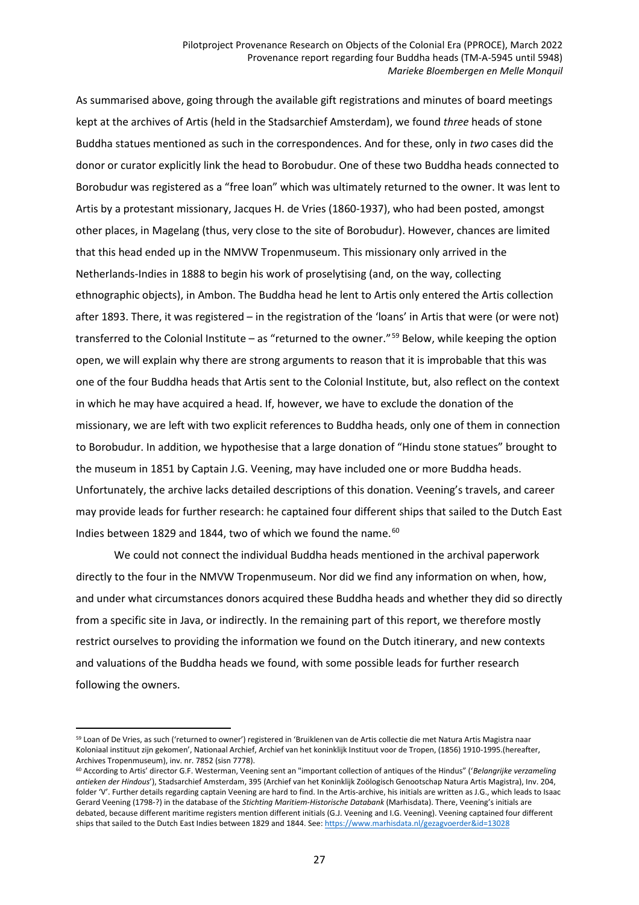As summarised above, going through the available gift registrations and minutes of board meetings kept at the archives of Artis (held in the Stadsarchief Amsterdam), we found *three* heads of stone Buddha statues mentioned as such in the correspondences. And for these, only in *two* cases did the donor or curator explicitly link the head to Borobudur. One of these two Buddha heads connected to Borobudur was registered as a "free loan" which was ultimately returned to the owner. It was lent to Artis by a protestant missionary, Jacques H. de Vries (1860-1937), who had been posted, amongst other places, in Magelang (thus, very close to the site of Borobudur). However, chances are limited that this head ended up in the NMVW Tropenmuseum. This missionary only arrived in the Netherlands-Indies in 1888 to begin his work of proselytising (and, on the way, collecting ethnographic objects), in Ambon. The Buddha head he lent to Artis only entered the Artis collection after 1893. There, it was registered – in the registration of the 'loans' in Artis that were (or were not) transferred to the Colonial Institute – as "returned to the owner."<sup>[59](#page-26-0)</sup> Below, while keeping the option open, we will explain why there are strong arguments to reason that it is improbable that this was one of the four Buddha heads that Artis sent to the Colonial Institute, but, also reflect on the context in which he may have acquired a head. If, however, we have to exclude the donation of the missionary, we are left with two explicit references to Buddha heads, only one of them in connection to Borobudur. In addition, we hypothesise that a large donation of "Hindu stone statues" brought to the museum in 1851 by Captain J.G. Veening, may have included one or more Buddha heads. Unfortunately, the archive lacks detailed descriptions of this donation. Veening's travels, and career may provide leads for further research: he captained four different ships that sailed to the Dutch East Indies between 1829 and 1844, two of which we found the name. $60$ 

We could not connect the individual Buddha heads mentioned in the archival paperwork directly to the four in the NMVW Tropenmuseum. Nor did we find any information on when, how, and under what circumstances donors acquired these Buddha heads and whether they did so directly from a specific site in Java, or indirectly. In the remaining part of this report, we therefore mostly restrict ourselves to providing the information we found on the Dutch itinerary, and new contexts and valuations of the Buddha heads we found, with some possible leads for further research following the owners.

<span id="page-26-0"></span><sup>59</sup> Loan of De Vries, as such ('returned to owner') registered in 'Bruiklenen van de Artis collectie die met Natura Artis Magistra naar Koloniaal instituut zijn gekomen', Nationaal Archief, Archief van het koninklijk Instituut voor de Tropen, (1856) 1910-1995.(hereafter, Archives Tropenmuseum), inv. nr. 7852 (sisn 7778).

<span id="page-26-1"></span><sup>60</sup> According to Artis' director G.F. Westerman, Veening sent an "important collection of antiques of the Hindus" ('*Belangrijke verzameling antieken der Hindous*'), Stadsarchief Amsterdam, 395 (Archief van het Koninklijk Zoölogisch Genootschap Natura Artis Magistra), Inv. 204, folder 'V'. Further details regarding captain Veening are hard to find. In the Artis-archive, his initials are written as J.G., which leads to Isaac Gerard Veening (1798-?) in the database of the *Stichting Maritiem-Historische Databank* (Marhisdata). There, Veening's initials are debated, because different maritime registers mention different initials (G.J. Veening and I.G. Veening). Veening captained four different ships that sailed to the Dutch East Indies between 1829 and 1844. See: <https://www.marhisdata.nl/gezagvoerder&id=13028>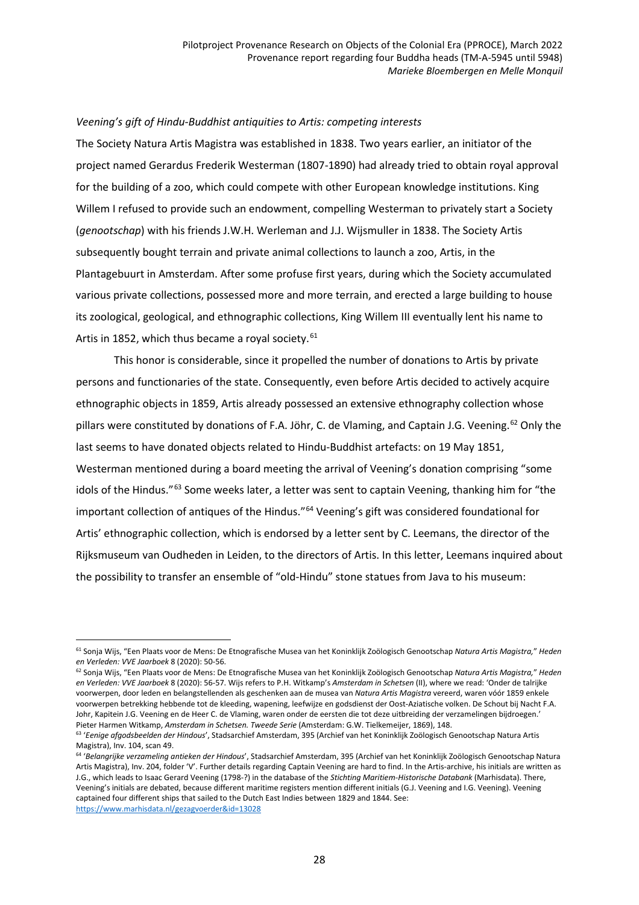#### *Veening's gift of Hindu-Buddhist antiquities to Artis: competing interests*

The Society Natura Artis Magistra was established in 1838. Two years earlier, an initiator of the project named Gerardus Frederik Westerman (1807-1890) had already tried to obtain royal approval for the building of a zoo, which could compete with other European knowledge institutions. King Willem I refused to provide such an endowment, compelling Westerman to privately start a Society (*genootschap*) with his friends J.W.H. Werleman and J.J. Wijsmuller in 1838. The Society Artis subsequently bought terrain and private animal collections to launch a zoo, Artis, in the Plantagebuurt in Amsterdam. After some profuse first years, during which the Society accumulated various private collections, possessed more and more terrain, and erected a large building to house its zoological, geological, and ethnographic collections, King Willem III eventually lent his name to Artis in 1852, which thus became a royal society.<sup>[61](#page-27-0)</sup>

This honor is considerable, since it propelled the number of donations to Artis by private persons and functionaries of the state. Consequently, even before Artis decided to actively acquire ethnographic objects in 1859, Artis already possessed an extensive ethnography collection whose pillars were constituted by donations of F.A. Jöhr, C. de Vlaming, and Captain J.G. Veening.<sup>[62](#page-27-1)</sup> Only the last seems to have donated objects related to Hindu-Buddhist artefacts: on 19 May 1851, Westerman mentioned during a board meeting the arrival of Veening's donation comprising "some idols of the Hindus."<sup>[63](#page-27-2)</sup> Some weeks later, a letter was sent to captain Veening, thanking him for "the important collection of antiques of the Hindus."<sup>[64](#page-27-3)</sup> Veening's gift was considered foundational for Artis' ethnographic collection, which is endorsed by a letter sent by C. Leemans, the director of the Rijksmuseum van Oudheden in Leiden, to the directors of Artis. In this letter, Leemans inquired about the possibility to transfer an ensemble of "old-Hindu" stone statues from Java to his museum:

<span id="page-27-0"></span> $\overline{a}$ <sup>61</sup> Sonja Wijs, "Een Plaats voor de Mens: De Etnografische Musea van het Koninklijk Zoölogisch Genootschap *Natura Artis Magistra,*" *Heden en Verleden: VVE Jaarboek* 8 (2020): 50-56.

<span id="page-27-1"></span><sup>62</sup> Sonja Wijs, "Een Plaats voor de Mens: De Etnografische Musea van het Koninklijk Zoölogisch Genootschap *Natura Artis Magistra,*" *Heden en Verleden: VVE Jaarboek* 8 (2020): 56-57. Wijs refers to P.H. Witkamp's *Amsterdam in Schetsen* (II), where we read: 'Onder de talrijke voorwerpen, door leden en belangstellenden als geschenken aan de musea van *Natura Artis Magistra* vereerd, waren vóór 1859 enkele voorwerpen betrekking hebbende tot de kleeding, wapening, leefwijze en godsdienst der Oost-Aziatische volken. De Schout bij Nacht F.A. Johr, Kapitein J.G. Veening en de Heer C. de Vlaming, waren onder de eersten die tot deze uitbreiding der verzamelingen bijdroegen.' Pieter Harmen Witkamp, *Amsterdam in Schetsen. Tweede Serie* (Amsterdam: G.W. Tielkemeijer, 1869), 148.

<span id="page-27-2"></span><sup>63</sup> '*Eenige afgodsbeelden der Hindous*', Stadsarchief Amsterdam, 395 (Archief van het Koninklijk Zoölogisch Genootschap Natura Artis Magistra), Inv. 104, scan 49.

<span id="page-27-3"></span><sup>64</sup> '*Belangrijke verzameling antieken der Hindous*', Stadsarchief Amsterdam, 395 (Archief van het Koninklijk Zoölogisch Genootschap Natura Artis Magistra), Inv. 204, folder 'V'. Further details regarding Captain Veening are hard to find. In the Artis-archive, his initials are written as J.G., which leads to Isaac Gerard Veening (1798-?) in the database of the *Stichting Maritiem-Historische Databank* (Marhisdata). There, Veening's initials are debated, because different maritime registers mention different initials (G.J. Veening and I.G. Veening). Veening captained four different ships that sailed to the Dutch East Indies between 1829 and 1844. See: <https://www.marhisdata.nl/gezagvoerder&id=13028>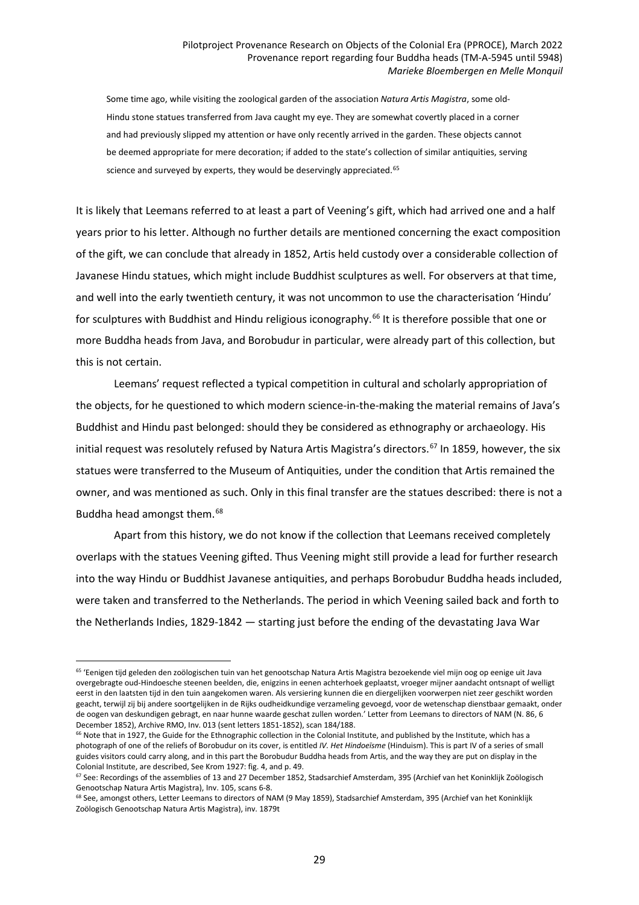Some time ago, while visiting the zoological garden of the association *Natura Artis Magistra*, some old-Hindu stone statues transferred from Java caught my eye. They are somewhat covertly placed in a corner and had previously slipped my attention or have only recently arrived in the garden. These objects cannot be deemed appropriate for mere decoration; if added to the state's collection of similar antiquities, serving science and surveyed by experts, they would be deservingly appreciated.<sup>[65](#page-28-0)</sup>

It is likely that Leemans referred to at least a part of Veening's gift, which had arrived one and a half years prior to his letter. Although no further details are mentioned concerning the exact composition of the gift, we can conclude that already in 1852, Artis held custody over a considerable collection of Javanese Hindu statues, which might include Buddhist sculptures as well. For observers at that time, and well into the early twentieth century, it was not uncommon to use the characterisation 'Hindu' for sculptures with Buddhist and Hindu religious iconography.<sup>[66](#page-28-1)</sup> It is therefore possible that one or more Buddha heads from Java, and Borobudur in particular, were already part of this collection, but this is not certain.

Leemans' request reflected a typical competition in cultural and scholarly appropriation of the objects, for he questioned to which modern science-in-the-making the material remains of Java's Buddhist and Hindu past belonged: should they be considered as ethnography or archaeology. His initial request was resolutely refused by Natura Artis Magistra's directors.<sup>[67](#page-28-2)</sup> In 1859, however, the six statues were transferred to the Museum of Antiquities, under the condition that Artis remained the owner, and was mentioned as such. Only in this final transfer are the statues described: there is not a Buddha head amongst them.<sup>[68](#page-28-3)</sup>

Apart from this history, we do not know if the collection that Leemans received completely overlaps with the statues Veening gifted. Thus Veening might still provide a lead for further research into the way Hindu or Buddhist Javanese antiquities, and perhaps Borobudur Buddha heads included, were taken and transferred to the Netherlands. The period in which Veening sailed back and forth to the Netherlands Indies, 1829-1842 — starting just before the ending of the devastating Java War

<span id="page-28-0"></span><sup>65</sup> 'Eenigen tijd geleden den zoölogischen tuin van het genootschap Natura Artis Magistra bezoekende viel mijn oog op eenige uit Java overgebragte oud-Hindoesche steenen beelden, die, enigzins in eenen achterhoek geplaatst, vroeger mijner aandacht ontsnapt of welligt eerst in den laatsten tijd in den tuin aangekomen waren. Als versiering kunnen die en diergelijken voorwerpen niet zeer geschikt worden geacht, terwijl zij bij andere soortgelijken in de Rijks oudheidkundige verzameling gevoegd, voor de wetenschap dienstbaar gemaakt, onder de oogen van deskundigen gebragt, en naar hunne waarde geschat zullen worden.' Letter from Leemans to directors of NAM (N. 86, 6 December 1852), Archive RMO, Inv. 013 (sent letters 1851-1852), scan 184/188.

<span id="page-28-1"></span><sup>&</sup>lt;sup>66</sup> Note that in 1927, the Guide for the Ethnographic collection in the Colonial Institute, and published by the Institute, which has a photograph of one of the reliefs of Borobudur on its cover, is entitled *IV. Het Hindoeïsme* (Hinduism). This is part IV of a series of small guides visitors could carry along, and in this part the Borobudur Buddha heads from Artis, and the way they are put on display in the Colonial Institute, are described, See Krom 1927: fig. 4, and p. 49.

<span id="page-28-2"></span> $67$  See: Recordings of the assemblies of 13 and 27 December 1852, Stadsarchief Amsterdam, 395 (Archief van het Koninklijk Zoölogisch Genootschap Natura Artis Magistra), Inv. 105, scans 6-8.

<span id="page-28-3"></span><sup>68</sup> See, amongst others, Letter Leemans to directors of NAM (9 May 1859), Stadsarchief Amsterdam, 395 (Archief van het Koninklijk Zoölogisch Genootschap Natura Artis Magistra), inv. 1879t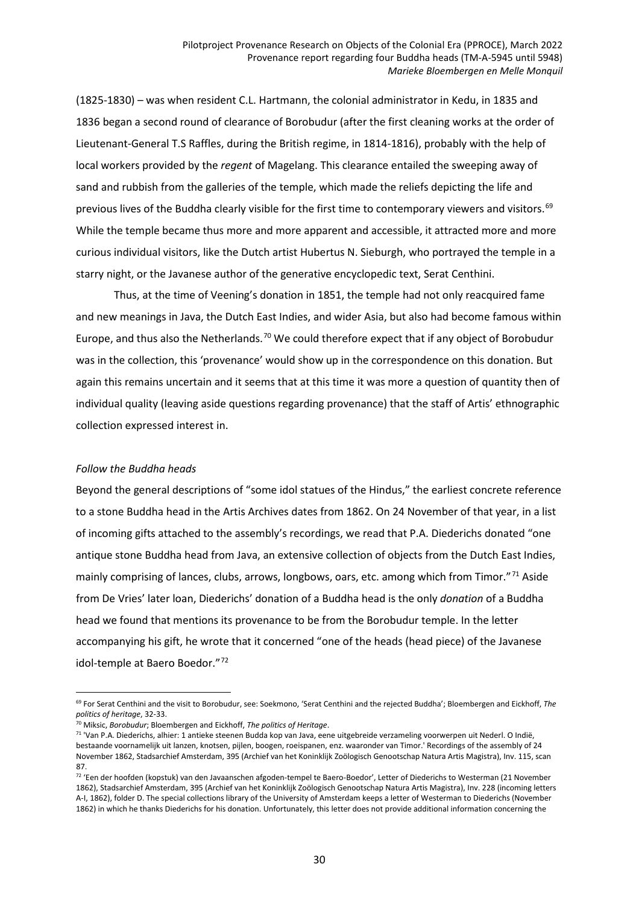(1825-1830) – was when resident C.L. Hartmann, the colonial administrator in Kedu, in 1835 and 1836 began a second round of clearance of Borobudur (after the first cleaning works at the order of Lieutenant-General T.S Raffles, during the British regime, in 1814-1816), probably with the help of local workers provided by the *regent* of Magelang. This clearance entailed the sweeping away of sand and rubbish from the galleries of the temple, which made the reliefs depicting the life and previous lives of the Buddha clearly visible for the first time to contemporary viewers and visitors.<sup>[69](#page-29-0)</sup> While the temple became thus more and more apparent and accessible, it attracted more and more curious individual visitors, like the Dutch artist Hubertus N. Sieburgh, who portrayed the temple in a starry night, or the Javanese author of the generative encyclopedic text, Serat Centhini.

Thus, at the time of Veening's donation in 1851, the temple had not only reacquired fame and new meanings in Java, the Dutch East Indies, and wider Asia, but also had become famous within Europe, and thus also the Netherlands.<sup>[70](#page-29-1)</sup> We could therefore expect that if any object of Borobudur was in the collection, this 'provenance' would show up in the correspondence on this donation. But again this remains uncertain and it seems that at this time it was more a question of quantity then of individual quality (leaving aside questions regarding provenance) that the staff of Artis' ethnographic collection expressed interest in.

### *Follow the Buddha heads*

 $\overline{a}$ 

Beyond the general descriptions of "some idol statues of the Hindus," the earliest concrete reference to a stone Buddha head in the Artis Archives dates from 1862. On 24 November of that year, in a list of incoming gifts attached to the assembly's recordings, we read that P.A. Diederichs donated "one antique stone Buddha head from Java, an extensive collection of objects from the Dutch East Indies, mainly comprising of lances, clubs, arrows, longbows, oars, etc. among which from Timor."<sup>[71](#page-29-2)</sup> Aside from De Vries' later loan, Diederichs' donation of a Buddha head is the only *donation* of a Buddha head we found that mentions its provenance to be from the Borobudur temple. In the letter accompanying his gift, he wrote that it concerned "one of the heads (head piece) of the Javanese idol-temple at Baero Boedor."[72](#page-29-3)

<span id="page-29-0"></span><sup>69</sup> For Serat Centhini and the visit to Borobudur, see: Soekmono, 'Serat Centhini and the rejected Buddha'; Bloembergen and Eickhoff, *The politics of heritage*, 32-33.

<span id="page-29-1"></span><sup>70</sup> Miksic, *Borobudur*; Bloembergen and Eickhoff, *The politics of Heritage*.

<span id="page-29-2"></span><sup>71</sup> 'Van P.A. Diederichs, alhier: 1 antieke steenen Budda kop van Java, eene uitgebreide verzameling voorwerpen uit Nederl. O Indië, bestaande voornamelijk uit lanzen, knotsen, pijlen, boogen, roeispanen, enz. waaronder van Timor.' Recordings of the assembly of 24 November 1862, Stadsarchief Amsterdam, 395 (Archief van het Koninklijk Zoölogisch Genootschap Natura Artis Magistra), Inv. 115, scan 87.

<span id="page-29-3"></span> $72$  'Een der hoofden (kopstuk) van den Javaanschen afgoden-tempel te Baero-Boedor', Letter of Diederichs to Westerman (21 November 1862), Stadsarchief Amsterdam, 395 (Archief van het Koninklijk Zoölogisch Genootschap Natura Artis Magistra), Inv. 228 (incoming letters A-I, 1862), folder D. The special collections library of the University of Amsterdam keeps a letter of Westerman to Diederichs (November 1862) in which he thanks Diederichs for his donation. Unfortunately, this letter does not provide additional information concerning the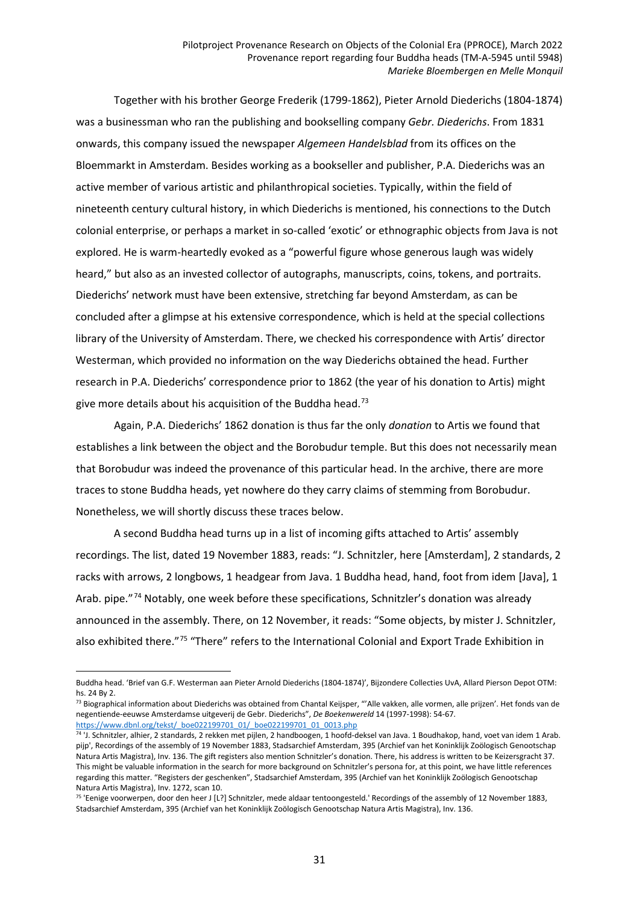Together with his brother George Frederik (1799-1862), Pieter Arnold Diederichs (1804-1874) was a businessman who ran the publishing and bookselling company *Gebr. Diederichs*. From 1831 onwards, this company issued the newspaper *Algemeen Handelsblad* from its offices on the Bloemmarkt in Amsterdam. Besides working as a bookseller and publisher, P.A. Diederichs was an active member of various artistic and philanthropical societies. Typically, within the field of nineteenth century cultural history, in which Diederichs is mentioned, his connections to the Dutch colonial enterprise, or perhaps a market in so-called 'exotic' or ethnographic objects from Java is not explored. He is warm-heartedly evoked as a "powerful figure whose generous laugh was widely heard," but also as an invested collector of autographs, manuscripts, coins, tokens, and portraits. Diederichs' network must have been extensive, stretching far beyond Amsterdam, as can be concluded after a glimpse at his extensive correspondence, which is held at the special collections library of the University of Amsterdam. There, we checked his correspondence with Artis' director Westerman, which provided no information on the way Diederichs obtained the head. Further research in P.A. Diederichs' correspondence prior to 1862 (the year of his donation to Artis) might give more details about his acquisition of the Buddha head.<sup>[73](#page-30-0)</sup>

Again, P.A. Diederichs' 1862 donation is thus far the only *donation* to Artis we found that establishes a link between the object and the Borobudur temple. But this does not necessarily mean that Borobudur was indeed the provenance of this particular head. In the archive, there are more traces to stone Buddha heads, yet nowhere do they carry claims of stemming from Borobudur. Nonetheless, we will shortly discuss these traces below.

A second Buddha head turns up in a list of incoming gifts attached to Artis' assembly recordings. The list, dated 19 November 1883, reads: "J. Schnitzler, here [Amsterdam], 2 standards, 2 racks with arrows, 2 longbows, 1 headgear from Java. 1 Buddha head, hand, foot from idem [Java], 1 Arab. pipe."<sup>[74](#page-30-1)</sup> Notably, one week before these specifications, Schnitzler's donation was already announced in the assembly. There, on 12 November, it reads: "Some objects, by mister J. Schnitzler, also exhibited there."<sup>[75](#page-30-2)</sup> "There" refers to the International Colonial and Export Trade Exhibition in

 $\overline{a}$ 

<span id="page-30-0"></span>73 Biographical information about Diederichs was obtained from Chantal Keijsper, "'Alle vakken, alle vormen, alle prijzen'. Het fonds van de negentiende-eeuwse Amsterdamse uitgeverij de Gebr. Diederichs", *De Boekenwereld* 14 (1997-1998): 54-67. [https://www.dbnl.org/tekst/\\_boe022199701\\_01/\\_boe022199701\\_01\\_0013.php](https://www.dbnl.org/tekst/_boe022199701_01/_boe022199701_01_0013.php)

Buddha head. 'Brief van G.F. Westerman aan Pieter Arnold Diederichs (1804-1874)', Bijzondere Collecties UvA, Allard Pierson Depot OTM: hs. 24 By 2.

<span id="page-30-1"></span><sup>74</sup> 'J. Schnitzler, alhier, 2 standards, 2 rekken met pijlen, 2 handboogen, 1 hoofd-deksel van Java. 1 Boudhakop, hand, voet van idem 1 Arab. pijp', Recordings of the assembly of 19 November 1883, Stadsarchief Amsterdam, 395 (Archief van het Koninklijk Zoölogisch Genootschap Natura Artis Magistra), Inv. 136. The gift registers also mention Schnitzler's donation. There, his address is written to be Keizersgracht 37. This might be valuable information in the search for more background on Schnitzler's persona for, at this point, we have little references regarding this matter. "Registers der geschenken", Stadsarchief Amsterdam, 395 (Archief van het Koninklijk Zoölogisch Genootschap Natura Artis Magistra), Inv. 1272, scan 10.

<span id="page-30-2"></span><sup>75</sup> 'Eenige voorwerpen, door den heer J [L?] Schnitzler, mede aldaar tentoongesteld.' Recordings of the assembly of 12 November 1883, Stadsarchief Amsterdam, 395 (Archief van het Koninklijk Zoölogisch Genootschap Natura Artis Magistra), Inv. 136.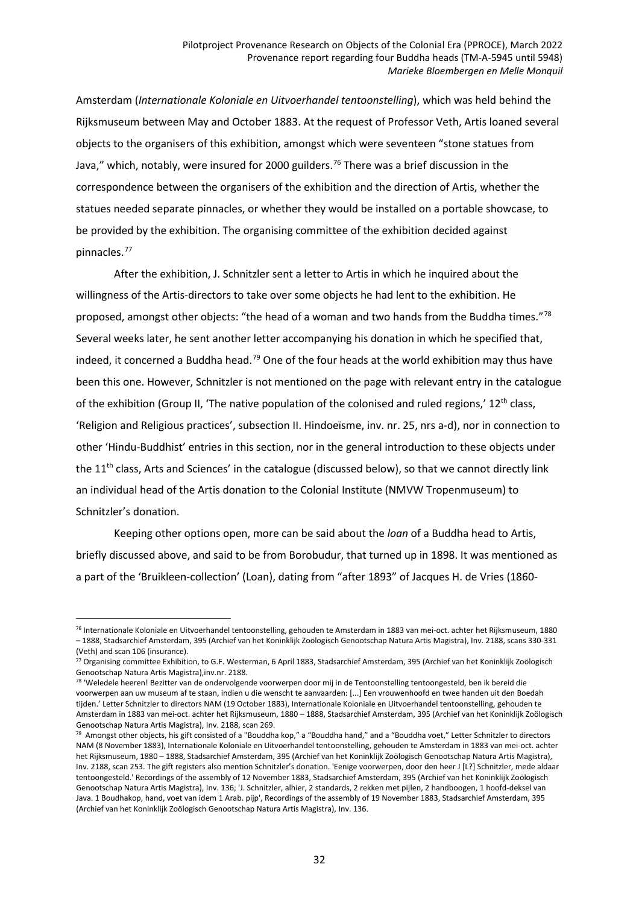Amsterdam (*Internationale Koloniale en Uitvoerhandel tentoonstelling*), which was held behind the Rijksmuseum between May and October 1883. At the request of Professor Veth, Artis loaned several objects to the organisers of this exhibition, amongst which were seventeen "stone statues from Java," which, notably, were insured for 2000 guilders.<sup>[76](#page-31-0)</sup> There was a brief discussion in the correspondence between the organisers of the exhibition and the direction of Artis, whether the statues needed separate pinnacles, or whether they would be installed on a portable showcase, to be provided by the exhibition. The organising committee of the exhibition decided against pinnacles.[77](#page-31-1)

After the exhibition, J. Schnitzler sent a letter to Artis in which he inquired about the willingness of the Artis-directors to take over some objects he had lent to the exhibition. He proposed, amongst other objects: "the head of a woman and two hands from the Buddha times."[78](#page-31-2) Several weeks later, he sent another letter accompanying his donation in which he specified that, indeed, it concerned a Buddha head.<sup>[79](#page-31-3)</sup> One of the four heads at the world exhibition may thus have been this one. However, Schnitzler is not mentioned on the page with relevant entry in the catalogue of the exhibition (Group II, 'The native population of the colonised and ruled regions,'  $12<sup>th</sup>$  class, 'Religion and Religious practices', subsection II. Hindoeïsme, inv. nr. 25, nrs a-d), nor in connection to other 'Hindu-Buddhist' entries in this section, nor in the general introduction to these objects under the 11<sup>th</sup> class, Arts and Sciences' in the catalogue (discussed below), so that we cannot directly link an individual head of the Artis donation to the Colonial Institute (NMVW Tropenmuseum) to Schnitzler's donation.

Keeping other options open, more can be said about the *loan* of a Buddha head to Artis, briefly discussed above, and said to be from Borobudur, that turned up in 1898. It was mentioned as a part of the 'Bruikleen-collection' (Loan), dating from "after 1893" of Jacques H. de Vries (1860-

<span id="page-31-0"></span><sup>76</sup> Internationale Koloniale en Uitvoerhandel tentoonstelling, gehouden te Amsterdam in 1883 van mei-oct. achter het Rijksmuseum, 1880 – 1888, Stadsarchief Amsterdam, 395 (Archief van het Koninklijk Zoölogisch Genootschap Natura Artis Magistra), Inv. 2188, scans 330-331 (Veth) and scan 106 (insurance).

<span id="page-31-1"></span> $77$  Organising committee Exhibition, to G.F. Westerman, 6 April 1883, Stadsarchief Amsterdam, 395 (Archief van het Koninklijk Zoölogisch Genootschap Natura Artis Magistra),inv.nr. 2188.

<span id="page-31-2"></span><sup>&</sup>lt;sup>78</sup> 'Weledele heeren! Bezitter van de ondervolgende voorwerpen door mij in de Tentoonstelling tentoongesteld, ben ik bereid die voorwerpen aan uw museum af te staan, indien u die wenscht te aanvaarden: [...] Een vrouwenhoofd en twee handen uit den Boedah tijden.' Letter Schnitzler to directors NAM (19 October 1883), Internationale Koloniale en Uitvoerhandel tentoonstelling, gehouden te Amsterdam in 1883 van mei-oct. achter het Rijksmuseum, 1880 – 1888, Stadsarchief Amsterdam, 395 (Archief van het Koninklijk Zoölogisch Genootschap Natura Artis Magistra), Inv. 2188, scan 269.

<span id="page-31-3"></span> $79$  Amongst other objects, his gift consisted of a "Bouddha kop," a "Bouddha hand," and a "Bouddha voet," Letter Schnitzler to directors NAM (8 November 1883), Internationale Koloniale en Uitvoerhandel tentoonstelling, gehouden te Amsterdam in 1883 van mei-oct. achter het Rijksmuseum, 1880 – 1888, Stadsarchief Amsterdam, 395 (Archief van het Koninklijk Zoölogisch Genootschap Natura Artis Magistra), Inv. 2188, scan 253. The gift registers also mention Schnitzler's donation. 'Eenige voorwerpen, door den heer J [L?] Schnitzler, mede aldaar tentoongesteld.' Recordings of the assembly of 12 November 1883, Stadsarchief Amsterdam, 395 (Archief van het Koninklijk Zoölogisch Genootschap Natura Artis Magistra), Inv. 136; 'J. Schnitzler, alhier, 2 standards, 2 rekken met pijlen, 2 handboogen, 1 hoofd-deksel van Java. 1 Boudhakop, hand, voet van idem 1 Arab. pijp', Recordings of the assembly of 19 November 1883, Stadsarchief Amsterdam, 395 (Archief van het Koninklijk Zoölogisch Genootschap Natura Artis Magistra), Inv. 136.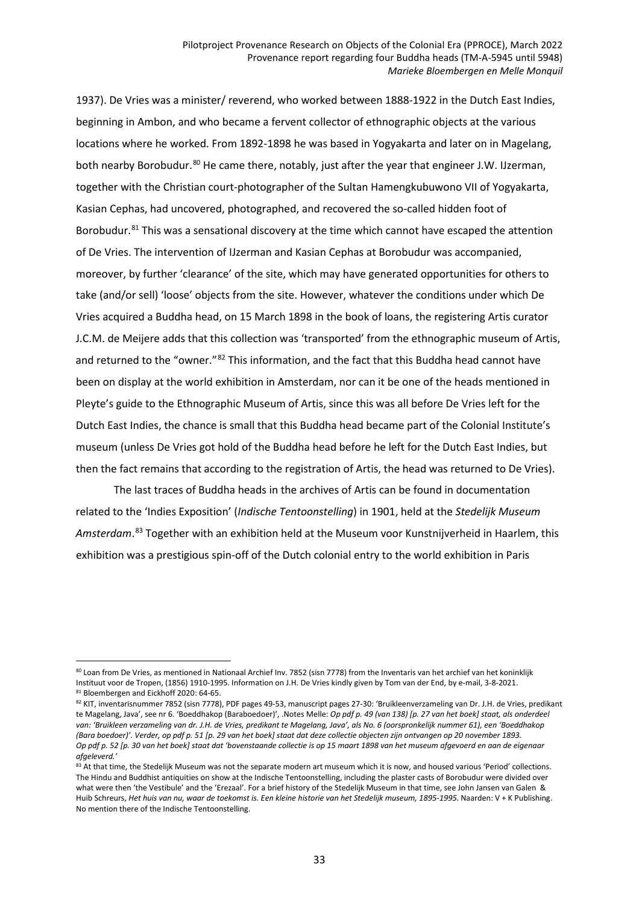1937). De Vries was a minister/ reverend, who worked between 1888-1922 in the Dutch East Indies, beginning in Ambon, and who became a fervent collector of ethnographic objects at the various locations where he worked. From 1892-1898 he was based in Yogyakarta and later on in Magelang, both nearby Borobudur.<sup>[80](#page-32-0)</sup> He came there, notably, just after the year that engineer J.W. IJzerman, together with the Christian court-photographer of the Sultan Hamengkubuwono VII of Yogyakarta, Kasian Cephas, had uncovered, photographed, and recovered the so-called hidden foot of Borobudur.<sup>[81](#page-32-1)</sup> This was a sensational discovery at the time which cannot have escaped the attention of De Vries. The intervention of IJzerman and Kasian Cephas at Borobudur was accompanied, moreover, by further 'clearance' of the site, which may have generated opportunities for others to take (and/or sell) 'loose' objects from the site. However, whatever the conditions under which De Vries acquired a Buddha head, on 15 March 1898 in the book of loans, the registering Artis curator J.C.M. de Meijere adds that this collection was 'transported' from the ethnographic museum of Artis, and returned to the "owner."<sup>[82](#page-32-2)</sup> This information, and the fact that this Buddha head cannot have been on display at the world exhibition in Amsterdam, nor can it be one of the heads mentioned in Pleyte's guide to the Ethnographic Museum of Artis, since this was all before De Vries left for the Dutch East Indies, the chance is small that this Buddha head became part of the Colonial Institute's museum (unless De Vries got hold of the Buddha head before he left for the Dutch East Indies, but then the fact remains that according to the registration of Artis, the head was returned to De Vries).

The last traces of Buddha heads in the archives of Artis can be found in documentation related to the 'Indies Exposition' (*Indische Tentoonstelling*) in 1901, held at the *Stedelijk Museum Amsterdam*. [83](#page-32-3) Together with an exhibition held at the Museum voor Kunstnijverheid in Haarlem, this exhibition was a prestigious spin-off of the Dutch colonial entry to the world exhibition in Paris

<span id="page-32-0"></span><sup>80</sup> Loan from De Vries, as mentioned in Nationaal Archief Inv. 7852 (sisn 7778) from the Inventaris van het archief van het koninklijk Instituut voor de Tropen, (1856) 1910-1995. Information on J.H. De Vries kindly given by Tom van der End, by e-mail, 3-8-2021. 81 Bloembergen and Eickhoff 2020: 64-65.

<span id="page-32-2"></span><span id="page-32-1"></span><sup>82</sup> KIT, inventarisnummer 7852 (sisn 7778), PDF pages 49-53, manuscript pages 27-30: 'Bruikleenverzameling van Dr. J.H. de Vries, predikant te Magelang, Java', see nr 6. 'Boeddhakop (Baraboedoer)', .Notes Melle: Op pdf p. 49 (van 138) [p. 27 van het boek] staat, als onderdeel van: 'Bruikleen verzameling van dr. J.H. de Vries, predikant te Magelang, Java', als No. 6 (oorspronkelijk nummer 61), een 'Boeddhakop (Bara boedoer)'. Verder, op pdf p. 51 [p. 29 van het boek] staat dat deze collectie objecten zijn ontvangen op 20 november 1893. Op pdf p. 52 [p. 30 van het boek] staat dat 'bovenstaande collectie is op 15 maart 1898 van het museum afgevoerd en aan de eigenaar *afgeleverd.'*

<span id="page-32-3"></span><sup>83</sup> At that time, the Stedelijk Museum was not the separate modern art museum which it is now, and housed various 'Period' collections. The Hindu and Buddhist antiquities on show at the Indische Tentoonstelling, including the plaster casts of Borobudur were divided over what were then 'the Vestibule' and the 'Erezaal'. For a brief history of the Stedelijk Museum in that time, see John Jansen van Galen & Huib Schreurs, Het huis van nu, waar de toekomst is. Een kleine historie van het Stedelijk museum, 1895-1995. Naarden: V + K Publishing. No mention there of the Indische Tentoonstelling.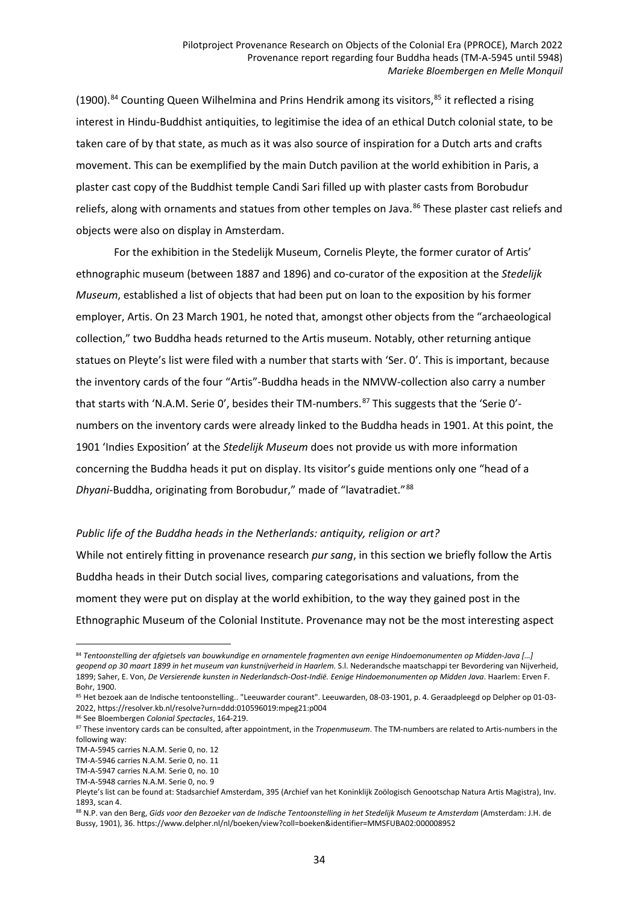(1900).<sup>[84](#page-33-0)</sup> Counting Queen Wilhelmina and Prins Hendrik among its visitors,  $85$  it reflected a rising interest in Hindu-Buddhist antiquities, to legitimise the idea of an ethical Dutch colonial state, to be taken care of by that state, as much as it was also source of inspiration for a Dutch arts and crafts movement. This can be exemplified by the main Dutch pavilion at the world exhibition in Paris, a plaster cast copy of the Buddhist temple Candi Sari filled up with plaster casts from Borobudur reliefs, along with ornaments and statues from other temples on Java.<sup>[86](#page-33-2)</sup> These plaster cast reliefs and objects were also on display in Amsterdam.

For the exhibition in the Stedelijk Museum, Cornelis Pleyte, the former curator of Artis' ethnographic museum (between 1887 and 1896) and co-curator of the exposition at the *Stedelijk Museum*, established a list of objects that had been put on loan to the exposition by his former employer, Artis. On 23 March 1901, he noted that, amongst other objects from the "archaeological collection," two Buddha heads returned to the Artis museum. Notably, other returning antique statues on Pleyte's list were filed with a number that starts with 'Ser. 0'. This is important, because the inventory cards of the four "Artis"-Buddha heads in the NMVW-collection also carry a number that starts with 'N.A.M. Serie O', besides their TM-numbers.<sup>[87](#page-33-3)</sup> This suggests that the 'Serie O'numbers on the inventory cards were already linked to the Buddha heads in 1901. At this point, the 1901 'Indies Exposition' at the *Stedelijk Museum* does not provide us with more information concerning the Buddha heads it put on display. Its visitor's guide mentions only one "head of a *Dhyani*-Buddha, originating from Borobudur," made of "lavatradiet."[88](#page-33-4)

#### *Public life of the Buddha heads in the Netherlands: antiquity, religion or art?*

While not entirely fitting in provenance research *pur sang*, in this section we briefly follow the Artis Buddha heads in their Dutch social lives, comparing categorisations and valuations, from the moment they were put on display at the world exhibition, to the way they gained post in the Ethnographic Museum of the Colonial Institute. Provenance may not be the most interesting aspect

<span id="page-33-0"></span><sup>84</sup> *Tentoonstelling der afgietsels van bouwkundige en ornamentele fragmenten avn eenige Hindoemonumenten op Midden-Java […] geopend op 30 maart 1899 in het museum van kunstnijverheid in Haarlem.* S.l. Nederandsche maatschappi ter Bevordering van Nijverheid, 1899; Saher, E. Von, *De Versierende kunsten in Nederlandsch-Oost-Indië. Eenige Hindoemonumenten op Midden Java*. Haarlem: Erven F. Bohr, 1900.

<span id="page-33-1"></span><sup>85</sup> Het bezoek aan de Indische tentoonstelling.. "Leeuwarder courant". Leeuwarden, 08-03-1901, p. 4. Geraadpleegd op Delpher op 01-03- 2022, https://resolver.kb.nl/resolve?urn=ddd:010596019:mpeg21:p004

<sup>86</sup> See Bloembergen *Colonial Spectacles*, 164-219.

<span id="page-33-3"></span><span id="page-33-2"></span><sup>87</sup> These inventory cards can be consulted, after appointment, in the *Tropenmuseum*. The TM-numbers are related to Artis-numbers in the following way:

TM-A-5945 carries N.A.M. Serie 0, no. 12

TM-A-5946 carries N.A.M. Serie 0, no. 11

TM-A-5947 carries N.A.M. Serie 0, no. 10

TM-A-5948 carries N.A.M. Serie 0, no. 9

Pleyte's list can be found at: Stadsarchief Amsterdam, 395 (Archief van het Koninklijk Zoölogisch Genootschap Natura Artis Magistra), Inv. 1893, scan 4.

<span id="page-33-4"></span><sup>88</sup> N.P. van den Berg, Gids voor den Bezoeker van de Indische Tentoonstelling in het Stedelijk Museum te Amsterdam (Amsterdam: J.H. de Bussy, 1901), 36. https://www.delpher.nl/nl/boeken/view?coll=boeken&identifier=MMSFUBA02:000008952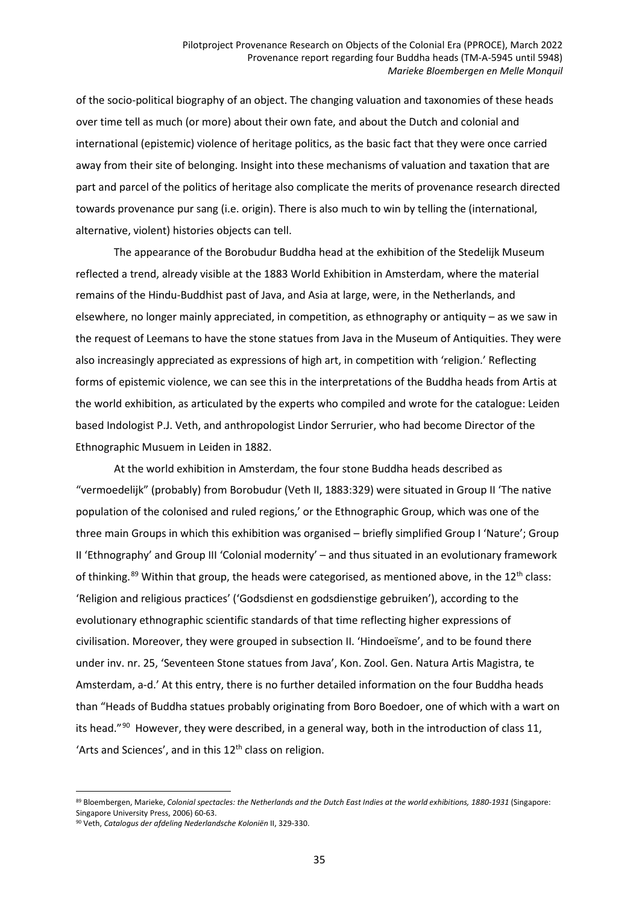of the socio-political biography of an object. The changing valuation and taxonomies of these heads over time tell as much (or more) about their own fate, and about the Dutch and colonial and international (epistemic) violence of heritage politics, as the basic fact that they were once carried away from their site of belonging. Insight into these mechanisms of valuation and taxation that are part and parcel of the politics of heritage also complicate the merits of provenance research directed towards provenance pur sang (i.e. origin). There is also much to win by telling the (international, alternative, violent) histories objects can tell.

The appearance of the Borobudur Buddha head at the exhibition of the Stedelijk Museum reflected a trend, already visible at the 1883 World Exhibition in Amsterdam, where the material remains of the Hindu-Buddhist past of Java, and Asia at large, were, in the Netherlands, and elsewhere, no longer mainly appreciated, in competition, as ethnography or antiquity – as we saw in the request of Leemans to have the stone statues from Java in the Museum of Antiquities. They were also increasingly appreciated as expressions of high art, in competition with 'religion.' Reflecting forms of epistemic violence, we can see this in the interpretations of the Buddha heads from Artis at the world exhibition, as articulated by the experts who compiled and wrote for the catalogue: Leiden based Indologist P.J. Veth, and anthropologist Lindor Serrurier, who had become Director of the Ethnographic Musuem in Leiden in 1882.

At the world exhibition in Amsterdam, the four stone Buddha heads described as "vermoedelijk" (probably) from Borobudur (Veth II, 1883:329) were situated in Group II 'The native population of the colonised and ruled regions,' or the Ethnographic Group, which was one of the three main Groups in which this exhibition was organised – briefly simplified Group I 'Nature'; Group II 'Ethnography' and Group III 'Colonial modernity' – and thus situated in an evolutionary framework of thinking.<sup>[89](#page-34-0)</sup> Within that group, the heads were categorised, as mentioned above, in the  $12^{th}$  class: 'Religion and religious practices' ('Godsdienst en godsdienstige gebruiken'), according to the evolutionary ethnographic scientific standards of that time reflecting higher expressions of civilisation. Moreover, they were grouped in subsection II. 'Hindoeïsme', and to be found there under inv. nr. 25, 'Seventeen Stone statues from Java', Kon. Zool. Gen. Natura Artis Magistra, te Amsterdam, a-d.' At this entry, there is no further detailed information on the four Buddha heads than "Heads of Buddha statues probably originating from Boro Boedoer, one of which with a wart on its head."<sup>90</sup> However, they were described, in a general way, both in the introduction of class 11, 'Arts and Sciences', and in this  $12<sup>th</sup>$  class on religion.

<span id="page-34-0"></span><sup>89</sup> Bloembergen, Marieke, Colonial spectacles: the Netherlands and the Dutch East Indies at the world exhibitions, 1880-1931 (Singapore: Singapore University Press, 2006) 60-63.

<span id="page-34-1"></span><sup>90</sup> Veth, *Catalogus der afdeling Nederlandsche Koloniën* II, 329-330.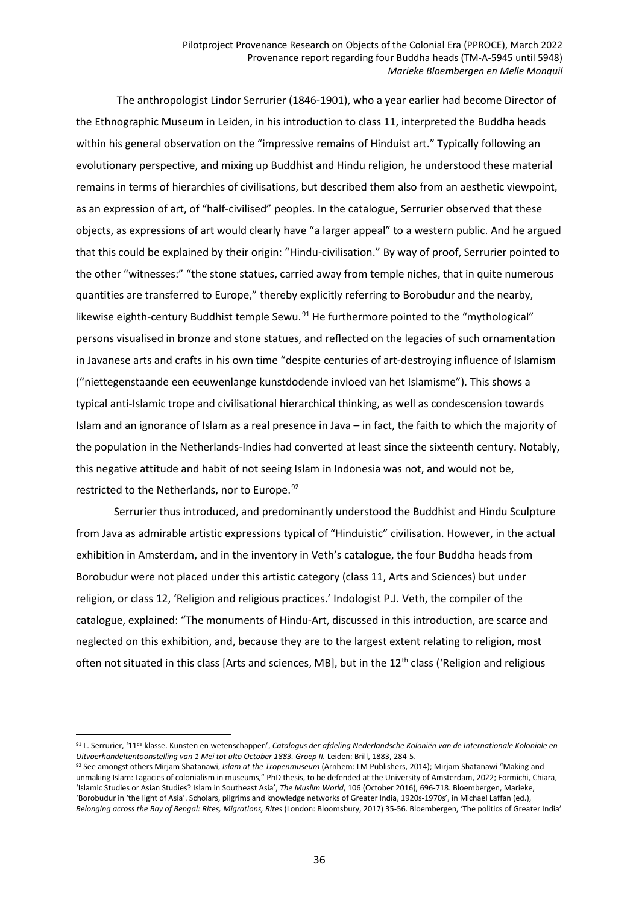The anthropologist Lindor Serrurier (1846-1901), who a year earlier had become Director of the Ethnographic Museum in Leiden, in his introduction to class 11, interpreted the Buddha heads within his general observation on the "impressive remains of Hinduist art." Typically following an evolutionary perspective, and mixing up Buddhist and Hindu religion, he understood these material remains in terms of hierarchies of civilisations, but described them also from an aesthetic viewpoint, as an expression of art, of "half-civilised" peoples. In the catalogue, Serrurier observed that these objects, as expressions of art would clearly have "a larger appeal" to a western public. And he argued that this could be explained by their origin: "Hindu-civilisation." By way of proof, Serrurier pointed to the other "witnesses:" "the stone statues, carried away from temple niches, that in quite numerous quantities are transferred to Europe," thereby explicitly referring to Borobudur and the nearby, likewise eighth-century Buddhist temple Sewu.<sup>[91](#page-35-0)</sup> He furthermore pointed to the "mythological" persons visualised in bronze and stone statues, and reflected on the legacies of such ornamentation in Javanese arts and crafts in his own time "despite centuries of art-destroying influence of Islamism ("niettegenstaande een eeuwenlange kunstdodende invloed van het Islamisme"). This shows a typical anti-Islamic trope and civilisational hierarchical thinking, as well as condescension towards Islam and an ignorance of Islam as a real presence in Java – in fact, the faith to which the majority of the population in the Netherlands-Indies had converted at least since the sixteenth century. Notably, this negative attitude and habit of not seeing Islam in Indonesia was not, and would not be, restricted to the Netherlands, nor to Europe.<sup>[92](#page-35-1)</sup>

Serrurier thus introduced, and predominantly understood the Buddhist and Hindu Sculpture from Java as admirable artistic expressions typical of "Hinduistic" civilisation. However, in the actual exhibition in Amsterdam, and in the inventory in Veth's catalogue, the four Buddha heads from Borobudur were not placed under this artistic category (class 11, Arts and Sciences) but under religion, or class 12, 'Religion and religious practices.' Indologist P.J. Veth, the compiler of the catalogue, explained: "The monuments of Hindu-Art, discussed in this introduction, are scarce and neglected on this exhibition, and, because they are to the largest extent relating to religion, most often not situated in this class [Arts and sciences, MB], but in the 12<sup>th</sup> class ('Religion and religious

l

<span id="page-35-0"></span><sup>91</sup> L. Serrurier, '11de klasse. Kunsten en wetenschappen', *Catalogus der afdeling Nederlandsche Koloniën van de Internationale Koloniale en Uitvoerhandeltentoonstelling van 1 Mei tot ulto October 1883. Groep II.* Leiden: Brill, 1883, 284-5.

<span id="page-35-1"></span><sup>92</sup> See amongst others Mirjam Shatanawi, *Islam at the Tropenmuseum* (Arnhem: LM Publishers, 2014); Mirjam Shatanawi "Making and unmaking Islam: Lagacies of colonialism in museums," PhD thesis, to be defended at the University of Amsterdam, 2022; Formichi, Chiara, 'Islamic Studies or Asian Studies? Islam in Southeast Asia', *The Muslim World*, 106 (October 2016), 696-718. Bloembergen, Marieke, 'Borobudur in 'the light of Asia'. Scholars, pilgrims and knowledge networks of Greater India, 1920s-1970s', in Michael Laffan (ed.), *Belonging across the Bay of Bengal: Rites, Migrations, Rites* (London: Bloomsbury, 2017) 35-56. Bloembergen, 'The politics of Greater India'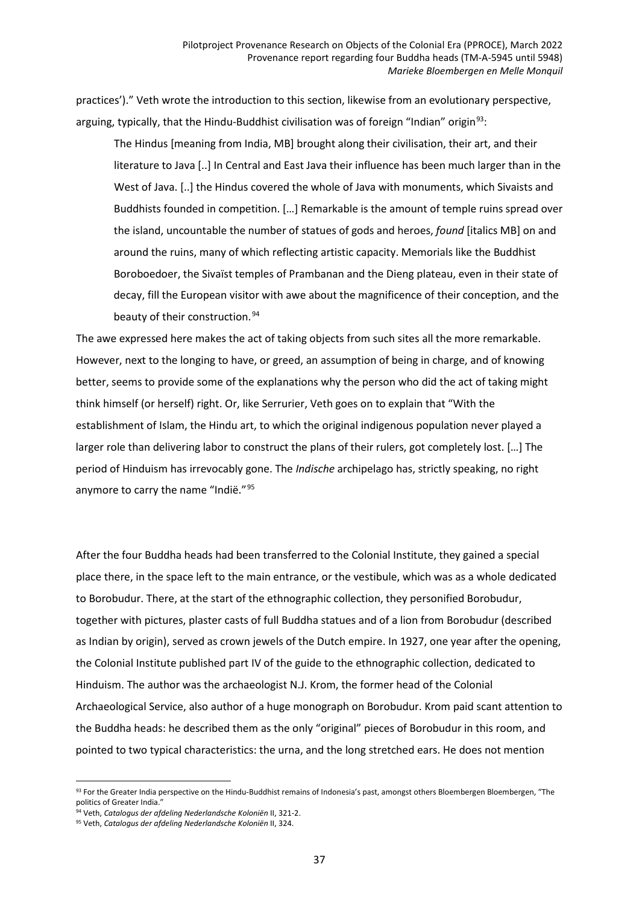practices')." Veth wrote the introduction to this section, likewise from an evolutionary perspective, arguing, typically, that the Hindu-Buddhist civilisation was of foreign "Indian" origin<sup>93</sup>:

The Hindus [meaning from India, MB] brought along their civilisation, their art, and their literature to Java [..] In Central and East Java their influence has been much larger than in the West of Java. [..] the Hindus covered the whole of Java with monuments, which Sivaists and Buddhists founded in competition. […] Remarkable is the amount of temple ruins spread over the island, uncountable the number of statues of gods and heroes, *found* [italics MB] on and around the ruins, many of which reflecting artistic capacity. Memorials like the Buddhist Boroboedoer, the Sivaïst temples of Prambanan and the Dieng plateau, even in their state of decay, fill the European visitor with awe about the magnificence of their conception, and the beauty of their construction. [94](#page-36-1)

The awe expressed here makes the act of taking objects from such sites all the more remarkable. However, next to the longing to have, or greed, an assumption of being in charge, and of knowing better, seems to provide some of the explanations why the person who did the act of taking might think himself (or herself) right. Or, like Serrurier, Veth goes on to explain that "With the establishment of Islam, the Hindu art, to which the original indigenous population never played a larger role than delivering labor to construct the plans of their rulers, got completely lost. […] The period of Hinduism has irrevocably gone. The *Indische* archipelago has, strictly speaking, no right anymore to carry the name "Indië." [95](#page-36-2)

After the four Buddha heads had been transferred to the Colonial Institute, they gained a special place there, in the space left to the main entrance, or the vestibule, which was as a whole dedicated to Borobudur. There, at the start of the ethnographic collection, they personified Borobudur, together with pictures, plaster casts of full Buddha statues and of a lion from Borobudur (described as Indian by origin), served as crown jewels of the Dutch empire. In 1927, one year after the opening, the Colonial Institute published part IV of the guide to the ethnographic collection, dedicated to Hinduism. The author was the archaeologist N.J. Krom, the former head of the Colonial Archaeological Service, also author of a huge monograph on Borobudur. Krom paid scant attention to the Buddha heads: he described them as the only "original" pieces of Borobudur in this room, and pointed to two typical characteristics: the urna, and the long stretched ears. He does not mention

<span id="page-36-0"></span> $\overline{a}$ 93 For the Greater India perspective on the Hindu-Buddhist remains of Indonesia's past, amongst others Bloembergen Bloembergen, "The politics of Greater India.'

<span id="page-36-1"></span><sup>94</sup> Veth, *Catalogus der afdeling Nederlandsche Koloniën* II, 321-2.

<span id="page-36-2"></span><sup>95</sup> Veth, *Catalogus der afdeling Nederlandsche Koloniën* II, 324.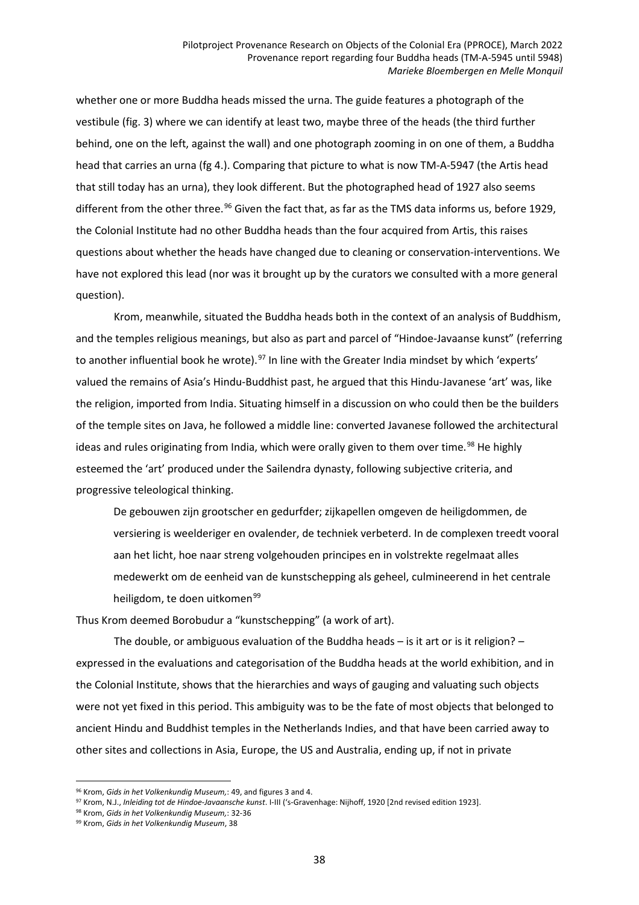whether one or more Buddha heads missed the urna. The guide features a photograph of the vestibule (fig. 3) where we can identify at least two, maybe three of the heads (the third further behind, one on the left, against the wall) and one photograph zooming in on one of them, a Buddha head that carries an urna (fg 4.). Comparing that picture to what is now TM-A-5947 (the Artis head that still today has an urna), they look different. But the photographed head of 1927 also seems different from the other three.<sup>[96](#page-37-0)</sup> Given the fact that, as far as the TMS data informs us, before 1929, the Colonial Institute had no other Buddha heads than the four acquired from Artis, this raises questions about whether the heads have changed due to cleaning or conservation-interventions. We have not explored this lead (nor was it brought up by the curators we consulted with a more general question).

Krom, meanwhile, situated the Buddha heads both in the context of an analysis of Buddhism, and the temples religious meanings, but also as part and parcel of "Hindoe-Javaanse kunst" (referring to another influential book he wrote).<sup>[97](#page-37-1)</sup> In line with the Greater India mindset by which 'experts' valued the remains of Asia's Hindu-Buddhist past, he argued that this Hindu-Javanese 'art' was, like the religion, imported from India. Situating himself in a discussion on who could then be the builders of the temple sites on Java, he followed a middle line: converted Javanese followed the architectural ideas and rules originating from India, which were orally given to them over time.<sup>[98](#page-37-2)</sup> He highly esteemed the 'art' produced under the Sailendra dynasty, following subjective criteria, and progressive teleological thinking.

De gebouwen zijn grootscher en gedurfder; zijkapellen omgeven de heiligdommen, de versiering is weelderiger en ovalender, de techniek verbeterd. In de complexen treedt vooral aan het licht, hoe naar streng volgehouden principes en in volstrekte regelmaat alles medewerkt om de eenheid van de kunstschepping als geheel, culmineerend in het centrale heiligdom, te doen uitkomen<sup>99</sup>

Thus Krom deemed Borobudur a "kunstschepping" (a work of art).

The double, or ambiguous evaluation of the Buddha heads – is it art or is it religion? – expressed in the evaluations and categorisation of the Buddha heads at the world exhibition, and in the Colonial Institute, shows that the hierarchies and ways of gauging and valuating such objects were not yet fixed in this period. This ambiguity was to be the fate of most objects that belonged to ancient Hindu and Buddhist temples in the Netherlands Indies, and that have been carried away to other sites and collections in Asia, Europe, the US and Australia, ending up, if not in private

<span id="page-37-0"></span><sup>96</sup> Krom, *Gids in het Volkenkundig Museum,*: 49, and figures 3 and 4.

<span id="page-37-1"></span><sup>97</sup> Krom, N.J., *Inleiding tot de Hindoe-Javaansche kunst*. I-III ('s-Gravenhage: Nijhoff, 1920 [2nd revised edition 1923].

<span id="page-37-2"></span><sup>98</sup> Krom, *Gids in het Volkenkundig Museum,*: 32-36

<span id="page-37-3"></span><sup>99</sup> Krom, *Gids in het Volkenkundig Museum*, 38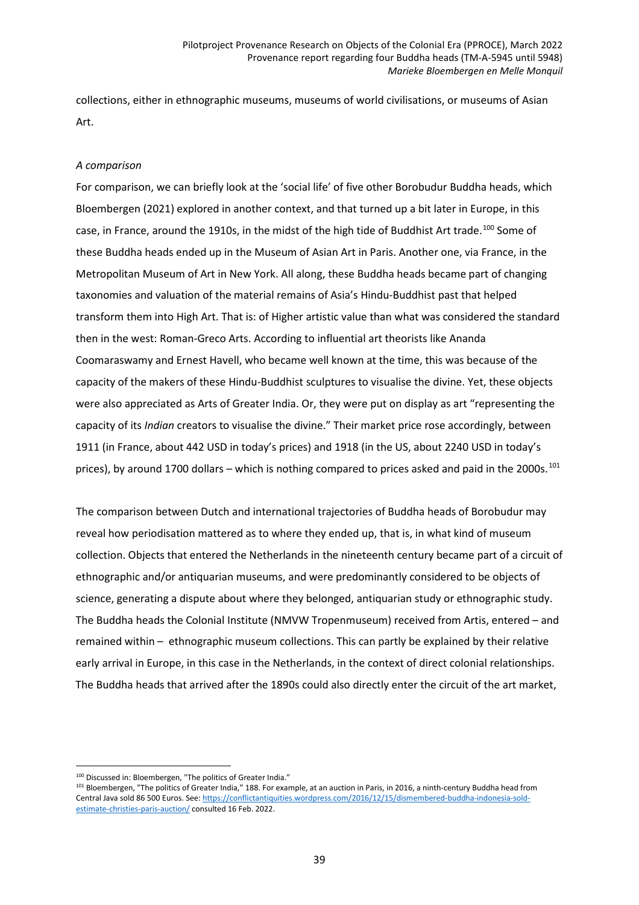collections, either in ethnographic museums, museums of world civilisations, or museums of Asian Art.

## *A comparison*

For comparison, we can briefly look at the 'social life' of five other Borobudur Buddha heads, which Bloembergen (2021) explored in another context, and that turned up a bit later in Europe, in this case, in France, around the 1910s, in the midst of the high tide of Buddhist Art trade.<sup>[100](#page-38-0)</sup> Some of these Buddha heads ended up in the Museum of Asian Art in Paris. Another one, via France, in the Metropolitan Museum of Art in New York. All along, these Buddha heads became part of changing taxonomies and valuation of the material remains of Asia's Hindu-Buddhist past that helped transform them into High Art. That is: of Higher artistic value than what was considered the standard then in the west: Roman-Greco Arts. According to influential art theorists like Ananda Coomaraswamy and Ernest Havell, who became well known at the time, this was because of the capacity of the makers of these Hindu-Buddhist sculptures to visualise the divine. Yet, these objects were also appreciated as Arts of Greater India. Or, they were put on display as art "representing the capacity of its *Indian* creators to visualise the divine." Their market price rose accordingly, between 1911 (in France, about 442 USD in today's prices) and 1918 (in the US, about 2240 USD in today's prices), by around 1700 dollars – which is nothing compared to prices asked and paid in the 2000s.<sup>[101](#page-38-1)</sup>

The comparison between Dutch and international trajectories of Buddha heads of Borobudur may reveal how periodisation mattered as to where they ended up, that is, in what kind of museum collection. Objects that entered the Netherlands in the nineteenth century became part of a circuit of ethnographic and/or antiquarian museums, and were predominantly considered to be objects of science, generating a dispute about where they belonged, antiquarian study or ethnographic study. The Buddha heads the Colonial Institute (NMVW Tropenmuseum) received from Artis, entered – and remained within – ethnographic museum collections. This can partly be explained by their relative early arrival in Europe, in this case in the Netherlands, in the context of direct colonial relationships. The Buddha heads that arrived after the 1890s could also directly enter the circuit of the art market,

l 100 Discussed in: Bloembergen, "The politics of Greater India."

<span id="page-38-1"></span><span id="page-38-0"></span><sup>101</sup> Bloembergen, "The politics of Greater India," 188. For example, at an auction in Paris, in 2016, a ninth-century Buddha head from Central Java sold 86 500 Euros. See: [https://conflictantiquities.wordpress.com/2016/12/15/dismembered-buddha-indonesia-sold](https://conflictantiquities.wordpress.com/2016/12/15/dismembered-buddha-indonesia-sold-estimate-christies-paris-auction/)[estimate-christies-paris-auction/](https://conflictantiquities.wordpress.com/2016/12/15/dismembered-buddha-indonesia-sold-estimate-christies-paris-auction/) consulted 16 Feb. 2022.